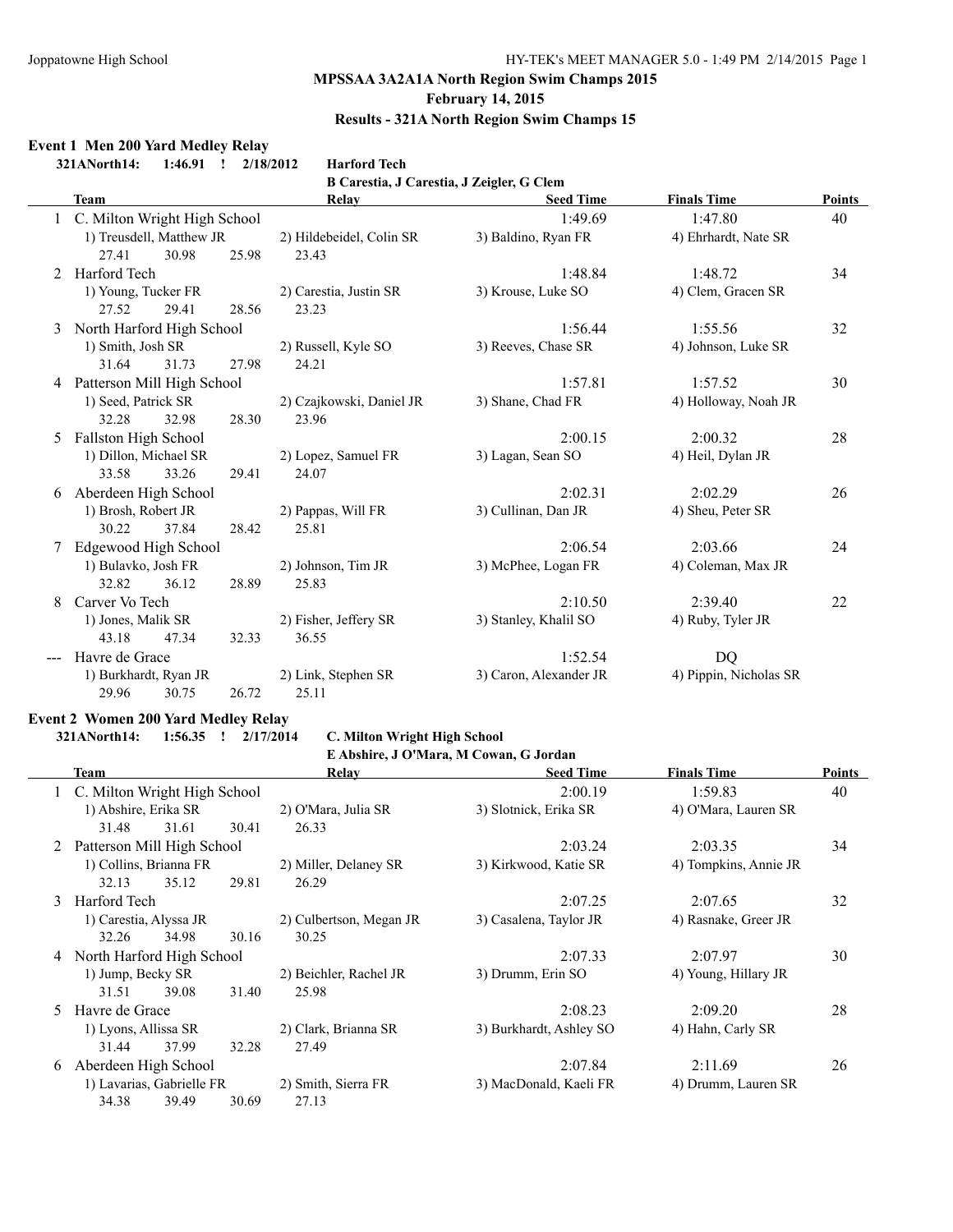#### **February 14, 2015**

#### **Results - 321A North Region Swim Champs 15**

#### **Event 1 Men 200 Yard Medley Relay**

**321ANorth14: 1:46.91 ! 2/18/2012 Harford Tech**

**B Carestia, J Carestia, J Zeigler, G Clem**

|   | Team                         |       |       | Relay                    | <b>Seed Time</b>       | <b>Finals Time</b>     | Points |
|---|------------------------------|-------|-------|--------------------------|------------------------|------------------------|--------|
|   | C. Milton Wright High School |       |       |                          | 1:49.69                | 1:47.80                | 40     |
|   | 1) Treusdell, Matthew JR     |       |       | 2) Hildebeidel, Colin SR | 3) Baldino, Ryan FR    | 4) Ehrhardt, Nate SR   |        |
|   | 27.41                        | 30.98 | 25.98 | 23.43                    |                        |                        |        |
|   | Harford Tech                 |       |       |                          | 1:48.84                | 1:48.72                | 34     |
|   | 1) Young, Tucker FR          |       |       | 2) Carestia, Justin SR   | 3) Krouse, Luke SO     | 4) Clem, Gracen SR     |        |
|   | 27.52                        | 29.41 | 28.56 | 23.23                    |                        |                        |        |
| 3 | North Harford High School    |       |       |                          | 1:56.44                | 1:55.56                | 32     |
|   | 1) Smith, Josh SR            |       |       | 2) Russell, Kyle SO      | 3) Reeves, Chase SR    | 4) Johnson, Luke SR    |        |
|   | 31.64                        | 31.73 | 27.98 | 24.21                    |                        |                        |        |
| 4 | Patterson Mill High School   |       |       |                          | 1:57.81                | 1:57.52                | 30     |
|   | 1) Seed, Patrick SR          |       |       | 2) Czajkowski, Daniel JR | 3) Shane, Chad FR      | 4) Holloway, Noah JR   |        |
|   | 32.28                        | 32.98 | 28.30 | 23.96                    |                        |                        |        |
| 5 | Fallston High School         |       |       |                          | 2:00.15                | 2:00.32                | 28     |
|   | 1) Dillon, Michael SR        |       |       | 2) Lopez, Samuel FR      | 3) Lagan, Sean SO      | 4) Heil, Dylan JR      |        |
|   | 33.58                        | 33.26 | 29.41 | 24.07                    |                        |                        |        |
| 6 | Aberdeen High School         |       |       |                          | 2:02.31                | 2:02.29                | 26     |
|   | 1) Brosh, Robert JR          |       |       | 2) Pappas, Will FR       | 3) Cullinan, Dan JR    | 4) Sheu, Peter SR      |        |
|   | 30.22                        | 37.84 | 28.42 | 25.81                    |                        |                        |        |
|   | Edgewood High School         |       |       |                          | 2:06.54                | 2:03.66                | 24     |
|   | 1) Bulavko, Josh FR          |       |       | 2) Johnson, Tim JR       | 3) McPhee, Logan FR    | 4) Coleman, Max JR     |        |
|   | 32.82                        | 36.12 | 28.89 | 25.83                    |                        |                        |        |
| 8 | Carver Vo Tech               |       |       |                          | 2:10.50                | 2:39.40                | 22     |
|   | 1) Jones, Malik SR           |       |       | 2) Fisher, Jeffery SR    | 3) Stanley, Khalil SO  | 4) Ruby, Tyler JR      |        |
|   | 43.18                        | 47.34 | 32.33 | 36.55                    |                        |                        |        |
|   | Havre de Grace               |       |       |                          | 1:52.54                | DQ                     |        |
|   | 1) Burkhardt, Ryan JR        |       |       | 2) Link, Stephen SR      | 3) Caron, Alexander JR | 4) Pippin, Nicholas SR |        |
|   | 29.96                        | 30.75 | 26.72 | 25.11                    |                        |                        |        |

#### **Event 2 Women 200 Yard Medley Relay**

**321ANorth14: 1:56.35 ! 2/17/2014 C. Milton Wright High School**

**E Abshire, J O'Mara, M Cowan, G Jordan**

|    |                                | L'ADSIME, J O Mara, M COWAII, G JORGAN |       |                         |                         |                       |               |  |  |  |  |
|----|--------------------------------|----------------------------------------|-------|-------------------------|-------------------------|-----------------------|---------------|--|--|--|--|
|    | <b>Team</b>                    |                                        |       | Relay                   | <b>Seed Time</b>        | <b>Finals Time</b>    | <b>Points</b> |  |  |  |  |
|    | 1 C. Milton Wright High School |                                        |       |                         | 2:00.19                 | 1:59.83               | 40            |  |  |  |  |
|    | 1) Abshire, Erika SR           |                                        |       | 2) O'Mara, Julia SR     | 3) Slotnick, Erika SR   | 4) O'Mara, Lauren SR  |               |  |  |  |  |
|    | 31.48                          | 31.61                                  | 30.41 | 26.33                   |                         |                       |               |  |  |  |  |
| 2  | Patterson Mill High School     |                                        |       |                         | 2:03.24                 | 2:03.35               | 34            |  |  |  |  |
|    | 1) Collins, Brianna FR         |                                        |       | 2) Miller, Delaney SR   | 3) Kirkwood, Katie SR   | 4) Tompkins, Annie JR |               |  |  |  |  |
|    | 32.13                          | 35.12                                  | 29.81 | 26.29                   |                         |                       |               |  |  |  |  |
| 3  | Harford Tech                   |                                        |       |                         | 2:07.25                 | 2:07.65               | 32            |  |  |  |  |
|    | 1) Carestia, Alyssa JR         |                                        |       | 2) Culbertson, Megan JR | 3) Casalena, Taylor JR  | 4) Rasnake, Greer JR  |               |  |  |  |  |
|    | 32.26                          | 34.98                                  | 30.16 | 30.25                   |                         |                       |               |  |  |  |  |
|    | 4 North Harford High School    |                                        |       |                         | 2:07.33                 | 2:07.97               | 30            |  |  |  |  |
|    | 1) Jump, Becky SR              |                                        |       | 2) Beichler, Rachel JR  | 3) Drumm, Erin SO       | 4) Young, Hillary JR  |               |  |  |  |  |
|    | 31.51                          | 39.08                                  | 31.40 | 25.98                   |                         |                       |               |  |  |  |  |
| 5. | Havre de Grace                 |                                        |       |                         | 2:08.23                 | 2:09.20               | 28            |  |  |  |  |
|    | 1) Lyons, Allissa SR           |                                        |       | 2) Clark, Brianna SR    | 3) Burkhardt, Ashley SO | 4) Hahn, Carly SR     |               |  |  |  |  |
|    | 31.44                          | 37.99                                  | 32.28 | 27.49                   |                         |                       |               |  |  |  |  |
| 6  | Aberdeen High School           |                                        |       |                         | 2:07.84                 | 2:11.69               | 26            |  |  |  |  |
|    | 1) Lavarias, Gabrielle FR      |                                        |       | 2) Smith, Sierra FR     | 3) MacDonald, Kaeli FR  | 4) Drumm, Lauren SR   |               |  |  |  |  |
|    | 34.38                          | 39.49                                  | 30.69 | 27.13                   |                         |                       |               |  |  |  |  |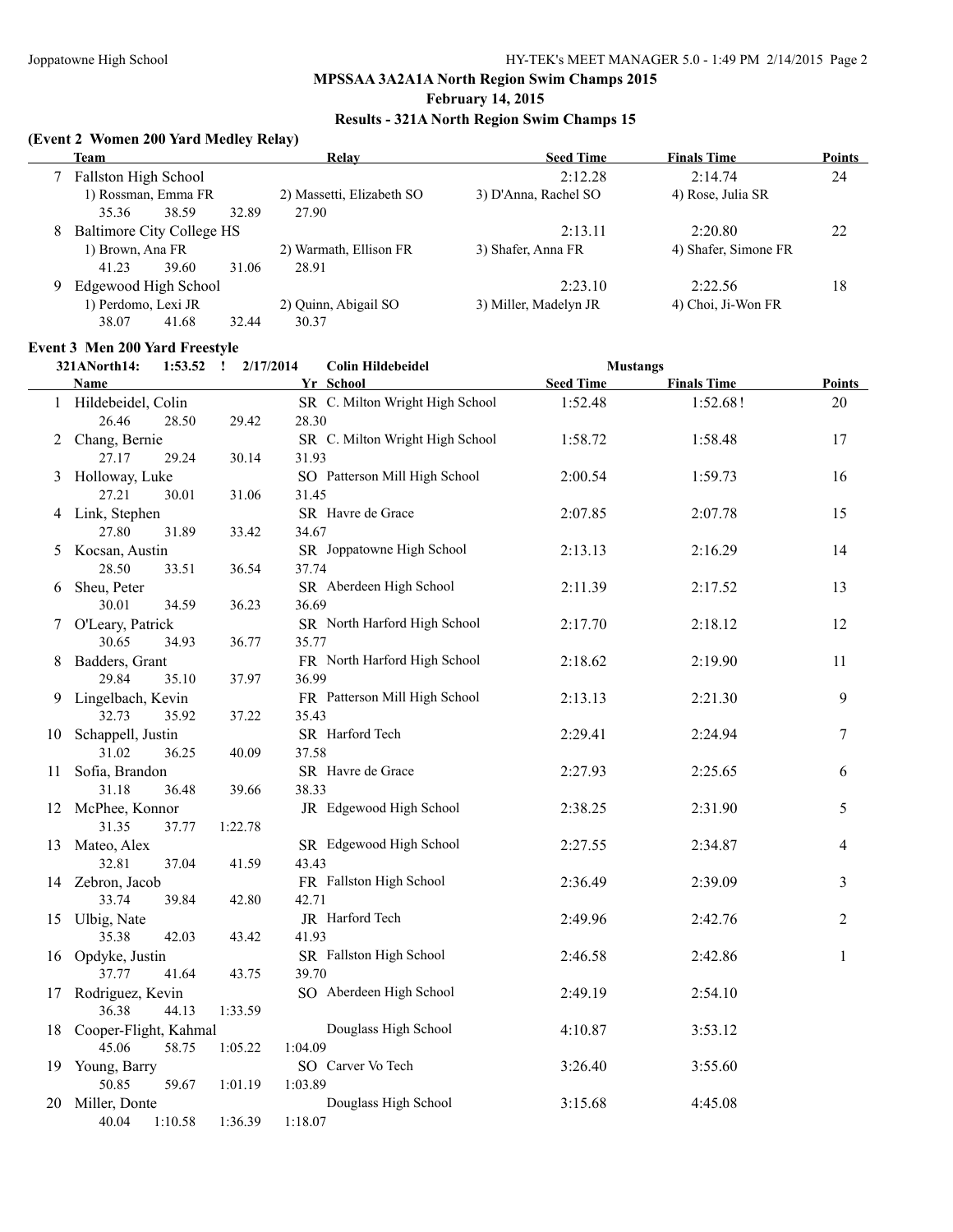#### **February 14, 2015**

#### **Results - 321A North Region Swim Champs 15**

#### **(Event 2 Women 200 Yard Medley Relay)**

|   | <b>Team</b>               | Relay                     | <b>Seed Time</b>      | <b>Finals Time</b>   | <b>Points</b> |
|---|---------------------------|---------------------------|-----------------------|----------------------|---------------|
|   | Fallston High School      |                           | 2:12.28               | 2:14.74              | 24            |
|   | 1) Rossman, Emma FR       | 2) Massetti, Elizabeth SO | 3) D'Anna, Rachel SO  | 4) Rose, Julia SR    |               |
|   | 35.36<br>38.59            | 27.90<br>32.89            |                       |                      |               |
| 8 | Baltimore City College HS |                           | 2:13.11               | 2:20.80              | 22            |
|   | 1) Brown, Ana FR          | 2) Warmath, Ellison FR    | 3) Shafer, Anna FR    | 4) Shafer, Simone FR |               |
|   | 41.23<br>39.60            | 28.91<br>31.06            |                       |                      |               |
| 9 | Edgewood High School      |                           | 2:23.10               | 2:22.56              | 18            |
|   | 1) Perdomo, Lexi JR       | 2) Quinn, Abigail SO      | 3) Miller, Madelyn JR | 4) Choi, Ji-Won FR   |               |
|   | 41.68<br>38.07            | 32.44<br>30.37            |                       |                      |               |

#### **Event 3 Men 200 Yard Freestyle**

|    | 321ANorth14:<br>1:53.52     | 2/17/2014<br>$\mathbf{I}$ | <b>Colin Hildebeidel</b>              | <b>Mustangs</b>  |                    |               |
|----|-----------------------------|---------------------------|---------------------------------------|------------------|--------------------|---------------|
|    | Name                        |                           | Yr School                             | <b>Seed Time</b> | <b>Finals Time</b> | <b>Points</b> |
|    | 1 Hildebeidel, Colin        |                           | SR C. Milton Wright High School       | 1:52.48          | 1:52.68!           | 20            |
|    | 26.46<br>28.50              | 29.42                     | 28.30                                 |                  |                    |               |
|    | 2 Chang, Bernie             |                           | SR C. Milton Wright High School       | 1:58.72          | 1:58.48            | 17            |
|    | 27.17<br>29.24              | 30.14                     | 31.93                                 |                  |                    |               |
|    | 3 Holloway, Luke            |                           | SO Patterson Mill High School         | 2:00.54          | 1:59.73            | 16            |
|    | 27.21<br>30.01              | 31.06                     | 31.45                                 |                  |                    |               |
|    | 4 Link, Stephen             |                           | SR Havre de Grace                     | 2:07.85          | 2:07.78            | 15            |
|    | 27.80<br>31.89              | 33.42                     | 34.67                                 |                  |                    |               |
| 5  | Kocsan, Austin              |                           | SR Joppatowne High School             | 2:13.13          | 2:16.29            | 14            |
|    | 28.50<br>33.51              | 36.54                     | 37.74                                 |                  |                    |               |
| 6  | Sheu, Peter                 |                           | SR Aberdeen High School               | 2:11.39          | 2:17.52            | 13            |
|    | 30.01<br>34.59              | 36.23                     | 36.69                                 |                  |                    |               |
|    | 7 O'Leary, Patrick<br>30.65 |                           | SR North Harford High School          | 2:17.70          | 2:18.12            | 12            |
|    | 34.93<br>Badders, Grant     | 36.77                     | 35.77<br>FR North Harford High School | 2:18.62          | 2:19.90            | 11            |
| 8  | 29.84<br>35.10              | 37.97                     | 36.99                                 |                  |                    |               |
| 9. | Lingelbach, Kevin           |                           | FR Patterson Mill High School         | 2:13.13          | 2:21.30            | 9             |
|    | 32.73<br>35.92              | 37.22                     | 35.43                                 |                  |                    |               |
| 10 | Schappell, Justin           |                           | SR Harford Tech                       | 2:29.41          | 2:24.94            | 7             |
|    | 31.02<br>36.25              | 40.09                     | 37.58                                 |                  |                    |               |
| 11 | Sofia, Brandon              |                           | SR Havre de Grace                     | 2:27.93          | 2:25.65            | 6             |
|    | 31.18<br>36.48              | 39.66                     | 38.33                                 |                  |                    |               |
| 12 | McPhee, Konnor              |                           | JR Edgewood High School               | 2:38.25          | 2:31.90            | 5             |
|    | 31.35<br>37.77              | 1:22.78                   |                                       |                  |                    |               |
|    | 13 Mateo, Alex              |                           | SR Edgewood High School               | 2:27.55          | 2:34.87            | 4             |
|    | 32.81<br>37.04              | 41.59                     | 43.43                                 |                  |                    |               |
|    | 14 Zebron, Jacob            |                           | FR Fallston High School               | 2:36.49          | 2:39.09            | 3             |
|    | 39.84<br>33.74              | 42.80                     | 42.71                                 |                  |                    |               |
|    | 15 Ulbig, Nate              |                           | JR Harford Tech                       | 2:49.96          | 2:42.76            | 2             |
|    | 35.38<br>42.03              | 43.42                     | 41.93                                 |                  |                    |               |
| 16 | Opdyke, Justin              |                           | SR Fallston High School               | 2:46.58          | 2:42.86            | 1             |
|    | 37.77<br>41.64              | 43.75                     | 39.70                                 |                  |                    |               |
| 17 | Rodriguez, Kevin            |                           | SO Aberdeen High School               | 2:49.19          | 2:54.10            |               |
|    | 36.38<br>44.13              | 1:33.59                   |                                       |                  |                    |               |
|    | 18 Cooper-Flight, Kahmal    |                           | Douglass High School                  | 4:10.87          | 3:53.12            |               |
|    | 45.06<br>58.75              | 1:05.22                   | 1:04.09                               |                  |                    |               |
|    | 19 Young, Barry             |                           | SO Carver Vo Tech                     | 3:26.40          | 3:55.60            |               |
|    | 50.85<br>59.67              | 1:01.19                   | 1:03.89                               |                  |                    |               |
| 20 | Miller, Donte               |                           | Douglass High School                  | 3:15.68          | 4:45.08            |               |
|    | 40.04<br>1:10.58            | 1:36.39                   | 1:18.07                               |                  |                    |               |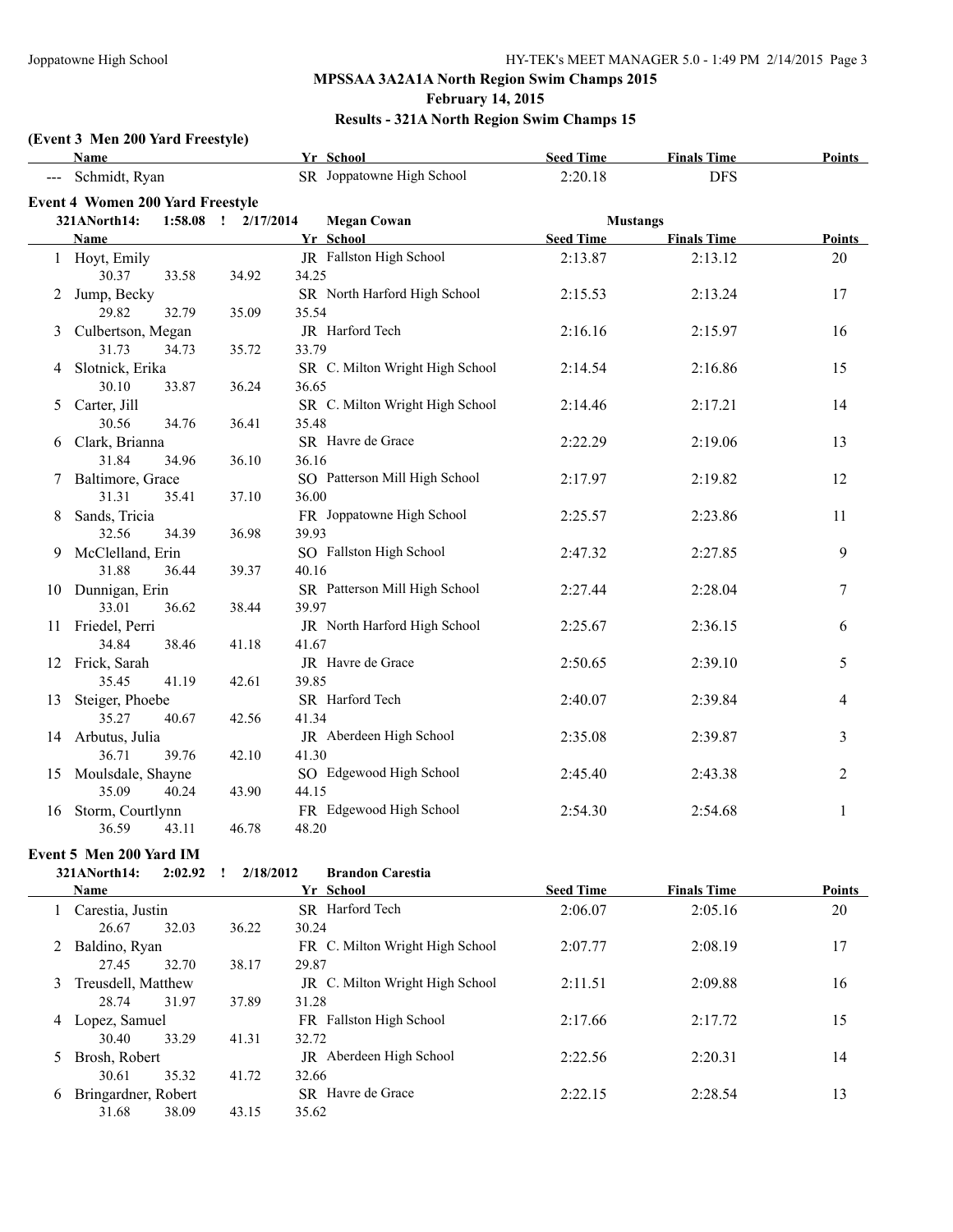#### **February 14, 2015**

#### **Results - 321A North Region Swim Champs 15**

# **(Event 3 Men 200 Yard Freestyle)**

|    | Name                                    |       |                     | Yr School                              | <b>Seed Time</b> | <b>Finals Time</b> | <b>Points</b>  |
|----|-----------------------------------------|-------|---------------------|----------------------------------------|------------------|--------------------|----------------|
|    | Schmidt, Ryan                           |       |                     | SR Joppatowne High School              | 2:20.18          | <b>DFS</b>         |                |
|    | <b>Event 4 Women 200 Yard Freestyle</b> |       |                     |                                        |                  |                    |                |
|    | 321ANorth14:                            |       | 1:58.08 ! 2/17/2014 | <b>Megan Cowan</b>                     | <b>Mustangs</b>  |                    |                |
|    | Name                                    |       |                     | Yr School                              | <b>Seed Time</b> | <b>Finals Time</b> | <b>Points</b>  |
|    | 1 Hoyt, Emily                           |       |                     | JR Fallston High School                | 2:13.87          | 2:13.12            | 20             |
|    | 30.37                                   | 33.58 | 34.92               | 34.25                                  |                  |                    |                |
| 2  | Jump, Becky                             |       |                     | SR North Harford High School           | 2:15.53          | 2:13.24            | 17             |
|    | 29.82                                   | 32.79 | 35.09               | 35.54                                  |                  |                    |                |
| 3  | Culbertson, Megan                       |       |                     | JR Harford Tech                        | 2:16.16          | 2:15.97            | 16             |
|    | 31.73                                   | 34.73 | 35.72               | 33.79                                  |                  |                    |                |
| 4  | Slotnick, Erika                         |       |                     | SR C. Milton Wright High School        | 2:14.54          | 2:16.86            | 15             |
|    | 30.10                                   | 33.87 | 36.24               | 36.65                                  |                  |                    |                |
| 5  | Carter, Jill                            |       |                     | SR C. Milton Wright High School        | 2:14.46          | 2:17.21            | 14             |
|    | 30.56                                   | 34.76 | 36.41               | 35.48                                  |                  |                    |                |
|    | 6 Clark, Brianna                        |       |                     | SR Havre de Grace                      | 2:22.29          | 2:19.06            | 13             |
|    | 31.84                                   | 34.96 | 36.10               | 36.16                                  |                  |                    |                |
| 7  | Baltimore, Grace                        |       |                     | SO Patterson Mill High School<br>36.00 | 2:17.97          | 2:19.82            | 12             |
|    | 31.31                                   | 35.41 | 37.10               | FR Joppatowne High School              |                  |                    |                |
| 8  | Sands, Tricia<br>32.56                  | 34.39 | 36.98               | 39.93                                  | 2:25.57          | 2:23.86            | 11             |
| 9  | McClelland, Erin                        |       |                     | SO Fallston High School                | 2:47.32          | 2:27.85            | 9              |
|    | 31.88                                   | 36.44 | 39.37               | 40.16                                  |                  |                    |                |
|    | 10 Dunnigan, Erin                       |       |                     | SR Patterson Mill High School          | 2:27.44          | 2:28.04            | 7              |
|    | 33.01                                   | 36.62 | 38.44               | 39.97                                  |                  |                    |                |
| 11 | Friedel, Perri                          |       |                     | JR North Harford High School           | 2:25.67          | 2:36.15            | 6              |
|    | 34.84                                   | 38.46 | 41.18               | 41.67                                  |                  |                    |                |
|    | 12 Frick, Sarah                         |       |                     | JR Havre de Grace                      | 2:50.65          | 2:39.10            | 5              |
|    | 35.45                                   | 41.19 | 42.61               | 39.85                                  |                  |                    |                |
| 13 | Steiger, Phoebe                         |       |                     | SR Harford Tech                        | 2:40.07          | 2:39.84            | 4              |
|    | 35.27                                   | 40.67 | 42.56               | 41.34                                  |                  |                    |                |
|    | 14 Arbutus, Julia                       |       |                     | JR Aberdeen High School                | 2:35.08          | 2:39.87            | 3              |
|    | 36.71                                   | 39.76 | 42.10               | 41.30                                  |                  |                    |                |
| 15 | Moulsdale, Shayne                       |       |                     | SO Edgewood High School                | 2:45.40          | 2:43.38            | $\overline{2}$ |
|    | 35.09                                   | 40.24 | 43.90               | 44.15                                  |                  |                    |                |
| 16 | Storm, Courtlynn                        |       |                     | FR Edgewood High School                | 2:54.30          | 2:54.68            | $\mathbf{1}$   |
|    | 36.59                                   | 43.11 | 46.78               | 48.20                                  |                  |                    |                |

#### **Event 5 Men 200 Yard IM**

|               | vent 5 Men 200 Yard IM |         |           |                                 |                  |                    |        |
|---------------|------------------------|---------|-----------|---------------------------------|------------------|--------------------|--------|
|               | 321ANorth14:           | 2:02.92 | 2/18/2012 | <b>Brandon Carestia</b>         |                  |                    |        |
|               | <b>Name</b>            |         |           | Yr School                       | <b>Seed Time</b> | <b>Finals Time</b> | Points |
|               | 1 Carestia, Justin     |         |           | SR Harford Tech                 | 2:06.07          | 2:05.16            | 20     |
|               | 26.67                  | 32.03   | 36.22     | 30.24                           |                  |                    |        |
| 2             | Baldino, Ryan          |         |           | FR C. Milton Wright High School | 2:07.77          | 2:08.19            | 17     |
|               | 27.45                  | 32.70   | 38.17     | 29.87                           |                  |                    |        |
| 3.            | Treusdell, Matthew     |         |           | JR C. Milton Wright High School | 2:11.51          | 2:09.88            | 16     |
|               | 28.74                  | 31.97   | 37.89     | 31.28                           |                  |                    |        |
| 4             | Lopez, Samuel          |         |           | FR Fallston High School         | 2:17.66          | 2:17.72            | 15     |
|               | 30.40                  | 33.29   | 41.31     | 32.72                           |                  |                    |        |
| $\mathcal{D}$ | Brosh, Robert          |         |           | JR Aberdeen High School         | 2:22.56          | 2:20.31            | 14     |
|               | 30.61                  | 35.32   | 41.72     | 32.66                           |                  |                    |        |
| 6             | Bringardner, Robert    |         |           | SR Havre de Grace               | 2:22.15          | 2:28.54            | 13     |
|               | 31.68                  | 38.09   | 43.15     | 35.62                           |                  |                    |        |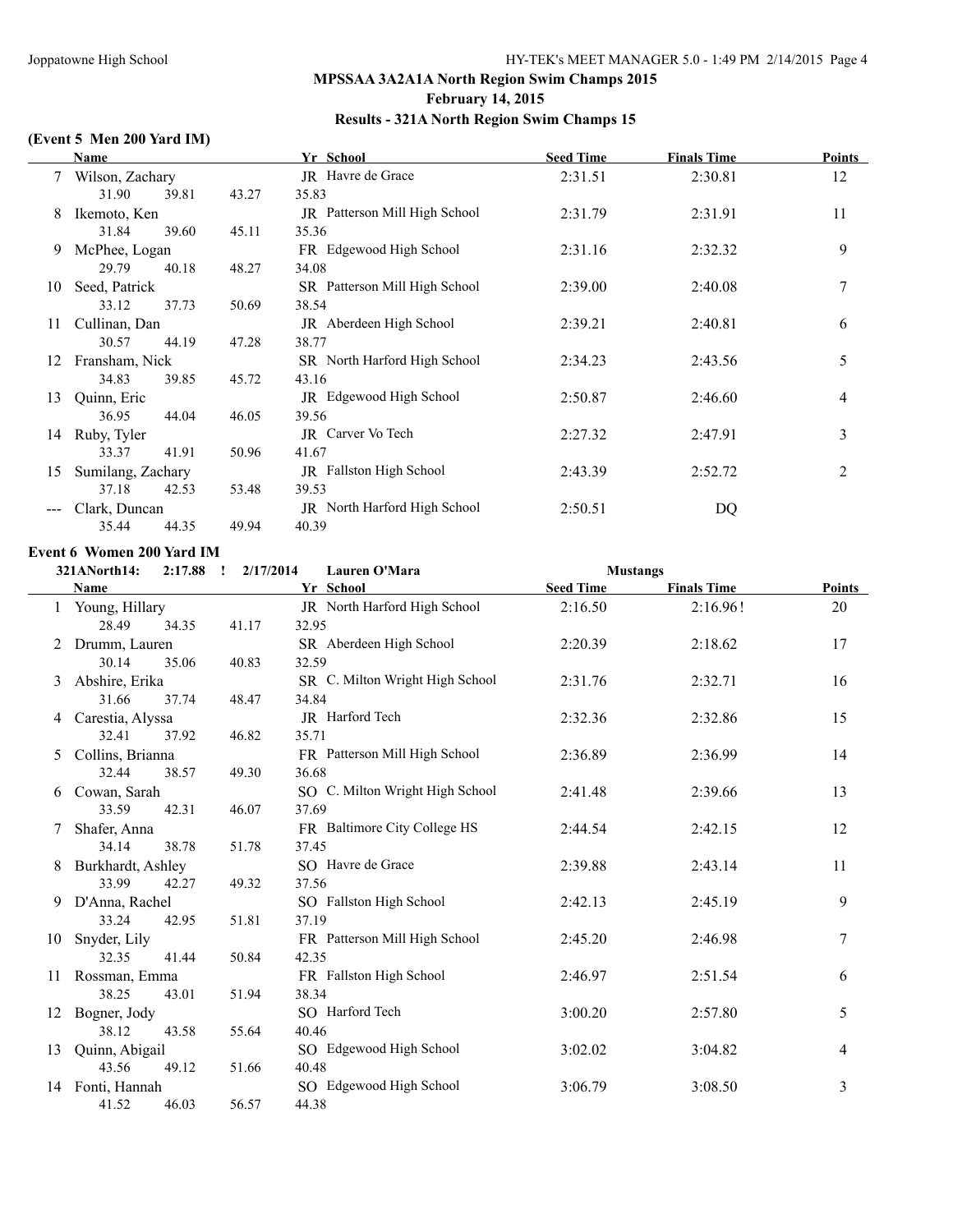#### **February 14, 2015**

#### **Results - 321A North Region Swim Champs 15**

#### **(Event 5 Men 200 Yard IM)**

|    | Name              |                   |       | Yr School                            | <b>Seed Time</b> | <b>Finals Time</b> | Points         |
|----|-------------------|-------------------|-------|--------------------------------------|------------------|--------------------|----------------|
|    | 7 Wilson, Zachary |                   |       | JR Havre de Grace                    | 2:31.51          | 2:30.81            | 12             |
|    | 31.90             | 39.81             | 43.27 | 35.83                                |                  |                    |                |
| 8  | Ikemoto, Ken      |                   |       | <b>JR</b> Patterson Mill High School | 2:31.79          | 2:31.91            | 11             |
|    | 31.84             | 39.60             | 45.11 | 35.36                                |                  |                    |                |
| 9  | McPhee, Logan     |                   |       | FR Edgewood High School              | 2:31.16          | 2:32.32            | 9              |
|    | 29.79             | 40.18             | 48.27 | 34.08                                |                  |                    |                |
| 10 | Seed, Patrick     |                   |       | SR Patterson Mill High School        | 2:39.00          | 2:40.08            | 7              |
|    | 33.12             | 37.73             | 50.69 | 38.54                                |                  |                    |                |
| 11 | Cullinan, Dan     |                   |       | JR Aberdeen High School              | 2:39.21          | 2:40.81            | 6              |
|    | 30.57             | 44.19             | 47.28 | 38.77                                |                  |                    |                |
| 12 | Fransham, Nick    |                   |       | SR North Harford High School         | 2:34.23          | 2:43.56            | 5              |
|    | 34.83             | 39.85             | 45.72 | 43.16                                |                  |                    |                |
| 13 | Quinn, Eric       |                   |       | <b>JR</b> Edgewood High School       | 2:50.87          | 2:46.60            | $\overline{4}$ |
|    | 36.95             | 44.04             | 46.05 | 39.56                                |                  |                    |                |
| 14 | Ruby, Tyler       |                   |       | JR Carver Vo Tech                    | 2:27.32          | 2:47.91            | 3              |
|    | 33.37             | 41.91             | 50.96 | 41.67                                |                  |                    |                |
| 15 |                   | Sumilang, Zachary |       | JR Fallston High School              | 2:43.39          | 2:52.72            | 2              |
|    | 37.18             | 42.53             | 53.48 | 39.53                                |                  |                    |                |
|    |                   | Clark, Duncan     |       | JR North Harford High School         | 2:50.51          | DQ                 |                |
|    | 35.44             | 44.35             | 49.94 | 40.39                                |                  |                    |                |

#### **Event 6 Women 200 Yard IM**

|    | 2:17.88<br>321ANorth14:            | 2/17/2014<br>$\mathbf{I}$ | <b>Lauren O'Mara</b>                  | <b>Mustangs</b>  |                    |                |
|----|------------------------------------|---------------------------|---------------------------------------|------------------|--------------------|----------------|
|    | Name                               |                           | Yr School                             | <b>Seed Time</b> | <b>Finals Time</b> | <b>Points</b>  |
|    | 1 Young, Hillary<br>28.49<br>34.35 | 41.17                     | JR North Harford High School<br>32.95 | 2:16.50          | 2:16.96!           | 20             |
|    | Drumm, Lauren                      |                           | SR Aberdeen High School               | 2:20.39          | 2:18.62            | 17             |
|    | 30.14<br>35.06                     | 40.83                     | 32.59                                 |                  |                    |                |
| 3  | Abshire, Erika                     |                           | SR C. Milton Wright High School       | 2:31.76          | 2:32.71            | 16             |
|    | 31.66<br>37.74                     | 48.47                     | 34.84                                 |                  |                    |                |
| 4  | Carestia, Alyssa                   |                           | JR Harford Tech                       | 2:32.36          | 2:32.86            | 15             |
|    | 32.41<br>37.92                     | 46.82                     | 35.71                                 |                  |                    |                |
| 5  | Collins, Brianna                   |                           | FR Patterson Mill High School         | 2:36.89          | 2:36.99            | 14             |
|    | 32.44<br>38.57                     | 49.30                     | 36.68                                 |                  |                    |                |
| 6  | Cowan, Sarah                       |                           | SO C. Milton Wright High School       | 2:41.48          | 2:39.66            | 13             |
|    | 33.59<br>42.31                     | 46.07                     | 37.69                                 |                  |                    |                |
|    | Shafer, Anna                       |                           | FR Baltimore City College HS          | 2:44.54          | 2:42.15            | 12             |
|    | 34.14<br>38.78                     | 51.78                     | 37.45                                 |                  |                    |                |
| 8  | Burkhardt, Ashley                  |                           | SO Havre de Grace                     | 2:39.88          | 2:43.14            | 11             |
|    | 33.99<br>42.27                     | 49.32                     | 37.56                                 |                  |                    |                |
| 9  | D'Anna, Rachel                     |                           | SO Fallston High School               | 2:42.13          | 2:45.19            | 9              |
|    | 33.24<br>42.95                     | 51.81                     | 37.19                                 |                  |                    |                |
| 10 | Snyder, Lily                       |                           | FR Patterson Mill High School         | 2:45.20          | 2:46.98            | 7              |
|    | 32.35<br>41.44                     | 50.84                     | 42.35                                 |                  |                    |                |
| 11 | Rossman, Emma                      |                           | FR Fallston High School               | 2:46.97          | 2:51.54            | 6              |
|    | 38.25<br>43.01                     | 51.94                     | 38.34                                 |                  |                    |                |
| 12 | Bogner, Jody                       |                           | SO Harford Tech                       | 3:00.20          | 2:57.80            | 5              |
|    | 38.12<br>43.58                     | 55.64                     | 40.46                                 |                  |                    |                |
| 13 | Quinn, Abigail                     |                           | SO Edgewood High School               | 3:02.02          | 3:04.82            | $\overline{4}$ |
|    | 43.56<br>49.12                     | 51.66                     | 40.48                                 |                  |                    |                |
| 14 | Fonti, Hannah                      |                           | SO Edgewood High School               | 3:06.79          | 3:08.50            | 3              |
|    | 41.52<br>46.03                     | 56.57                     | 44.38                                 |                  |                    |                |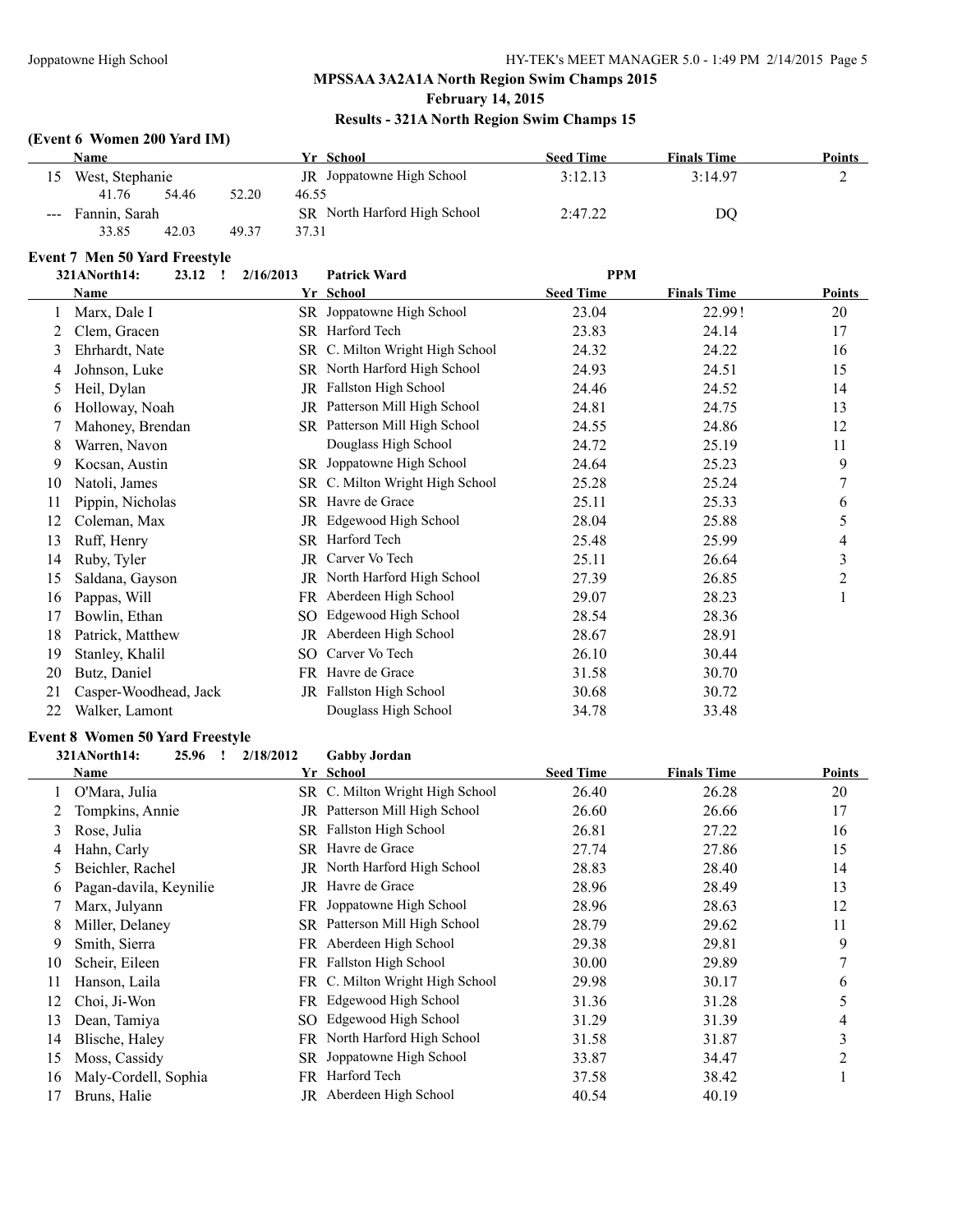#### **February 14, 2015**

#### **Results - 321A North Region Swim Champs 15**

#### **(Event 6 Women 200 Yard IM)**

|                   | <b>Name</b>     |       |       | Yr School                    | <b>Seed Time</b> | <b>Finals Time</b> | Points |
|-------------------|-----------------|-------|-------|------------------------------|------------------|--------------------|--------|
| 15                | West, Stephanie |       |       | JR Joppatowne High School    | 3:12.13          | 3:14.97            |        |
|                   | 41.76           | 54.46 | 52.20 | 46.55                        |                  |                    |        |
| --- Fannin, Sarah |                 |       |       | SR North Harford High School | 2:47.22          | DO                 |        |
|                   | 33.85           | 42.03 | 49.37 | 37.31                        |                  |                    |        |

### **Event 7 Men 50 Yard Freestyle**

|    | руснет висн со тага гтесяте<br>321ANorth14:<br>23.12<br>$\mathbf{I}$ | 2/16/2013 | <b>Patrick Ward</b>           | <b>PPM</b>       |                    |               |
|----|----------------------------------------------------------------------|-----------|-------------------------------|------------------|--------------------|---------------|
|    | <b>Name</b>                                                          |           | Yr School                     | <b>Seed Time</b> | <b>Finals Time</b> | <b>Points</b> |
|    | Marx, Dale I                                                         | SR        | Joppatowne High School        | 23.04            | 22.99!             | 20            |
| 2  | Clem, Gracen                                                         |           | SR Harford Tech               | 23.83            | 24.14              | 17            |
| 3  | Ehrhardt, Nate                                                       | SR        | C. Milton Wright High School  | 24.32            | 24.22              | 16            |
| 4  | Johnson, Luke                                                        |           | SR North Harford High School  | 24.93            | 24.51              | 15            |
| 5  | Heil, Dylan                                                          | JR        | Fallston High School          | 24.46            | 24.52              | 14            |
| 6  | Holloway, Noah                                                       | JR        | Patterson Mill High School    | 24.81            | 24.75              | 13            |
|    | Mahoney, Brendan                                                     |           | SR Patterson Mill High School | 24.55            | 24.86              | 12            |
| 8  | Warren, Navon                                                        |           | Douglass High School          | 24.72            | 25.19              | 11            |
| 9  | Kocsan, Austin                                                       |           | SR Joppatowne High School     | 24.64            | 25.23              | 9             |
| 10 | Natoli, James                                                        | SR        | C. Milton Wright High School  | 25.28            | 25.24              | 7             |
| 11 | Pippin, Nicholas                                                     | SR        | Havre de Grace                | 25.11            | 25.33              | 6             |
| 12 | Coleman, Max                                                         | JR        | Edgewood High School          | 28.04            | 25.88              | 5             |
| 13 | Ruff, Henry                                                          | SR        | Harford Tech                  | 25.48            | 25.99              | 4             |
| 14 | Ruby, Tyler                                                          | JR        | Carver Vo Tech                | 25.11            | 26.64              | 3             |
| 15 | Saldana, Gayson                                                      | JR.       | North Harford High School     | 27.39            | 26.85              | 2             |
| 16 | Pappas, Will                                                         | FR.       | Aberdeen High School          | 29.07            | 28.23              | 1             |
| 17 | Bowlin, Ethan                                                        | SO        | Edgewood High School          | 28.54            | 28.36              |               |
| 18 | Patrick, Matthew                                                     | JR        | Aberdeen High School          | 28.67            | 28.91              |               |
| 19 | Stanley, Khalil                                                      | SO        | Carver Vo Tech                | 26.10            | 30.44              |               |
| 20 | Butz, Daniel                                                         | FR        | Havre de Grace                | 31.58            | 30.70              |               |
| 21 | Casper-Woodhead, Jack                                                | JR.       | Fallston High School          | 30.68            | 30.72              |               |
| 22 | Walker, Lamont                                                       |           | Douglass High School          | 34.78            | 33.48              |               |

#### **Event 8 Women 50 Yard Freestyle**

**321ANorth14: 25.96 ! 2/18/2012 Gabby Jordan**

|    | Name                   |     | Yr School                       | <b>Seed Time</b> | <b>Finals Time</b> | <b>Points</b> |
|----|------------------------|-----|---------------------------------|------------------|--------------------|---------------|
|    | O'Mara, Julia          |     | SR C. Milton Wright High School | 26.40            | 26.28              | 20            |
|    | Tompkins, Annie        |     | JR Patterson Mill High School   | 26.60            | 26.66              | 17            |
| 3  | Rose, Julia            | SR  | Fallston High School            | 26.81            | 27.22              | 16            |
| 4  | Hahn, Carly            | SR  | Havre de Grace                  | 27.74            | 27.86              | 15            |
| 5  | Beichler, Rachel       | JR  | North Harford High School       | 28.83            | 28.40              | 14            |
| 6  | Pagan-davila, Keynilie | JR  | Havre de Grace                  | 28.96            | 28.49              | 13            |
|    | Marx, Julyann          | FR  | Joppatowne High School          | 28.96            | 28.63              | 12            |
| 8  | Miller, Delaney        | SR  | Patterson Mill High School      | 28.79            | 29.62              | 11            |
| 9  | Smith, Sierra          | FR  | Aberdeen High School            | 29.38            | 29.81              | 9             |
| 10 | Scheir, Eileen         | FR. | <b>Fallston High School</b>     | 30.00            | 29.89              |               |
| 11 | Hanson, Laila          |     | FR C. Milton Wright High School | 29.98            | 30.17              | 6             |
| 12 | Choi, Ji-Won           | FR. | Edgewood High School            | 31.36            | 31.28              |               |
| 13 | Dean, Tamiya           | SO. | Edgewood High School            | 31.29            | 31.39              | 4             |
| 14 | Blische, Haley         | FR. | North Harford High School       | 31.58            | 31.87              | 3             |
| 15 | Moss, Cassidy          | SR  | Joppatowne High School          | 33.87            | 34.47              | 2             |
| 16 | Maly-Cordell, Sophia   | FR  | Harford Tech                    | 37.58            | 38.42              |               |
| 17 | Bruns, Halie           | JR  | Aberdeen High School            | 40.54            | 40.19              |               |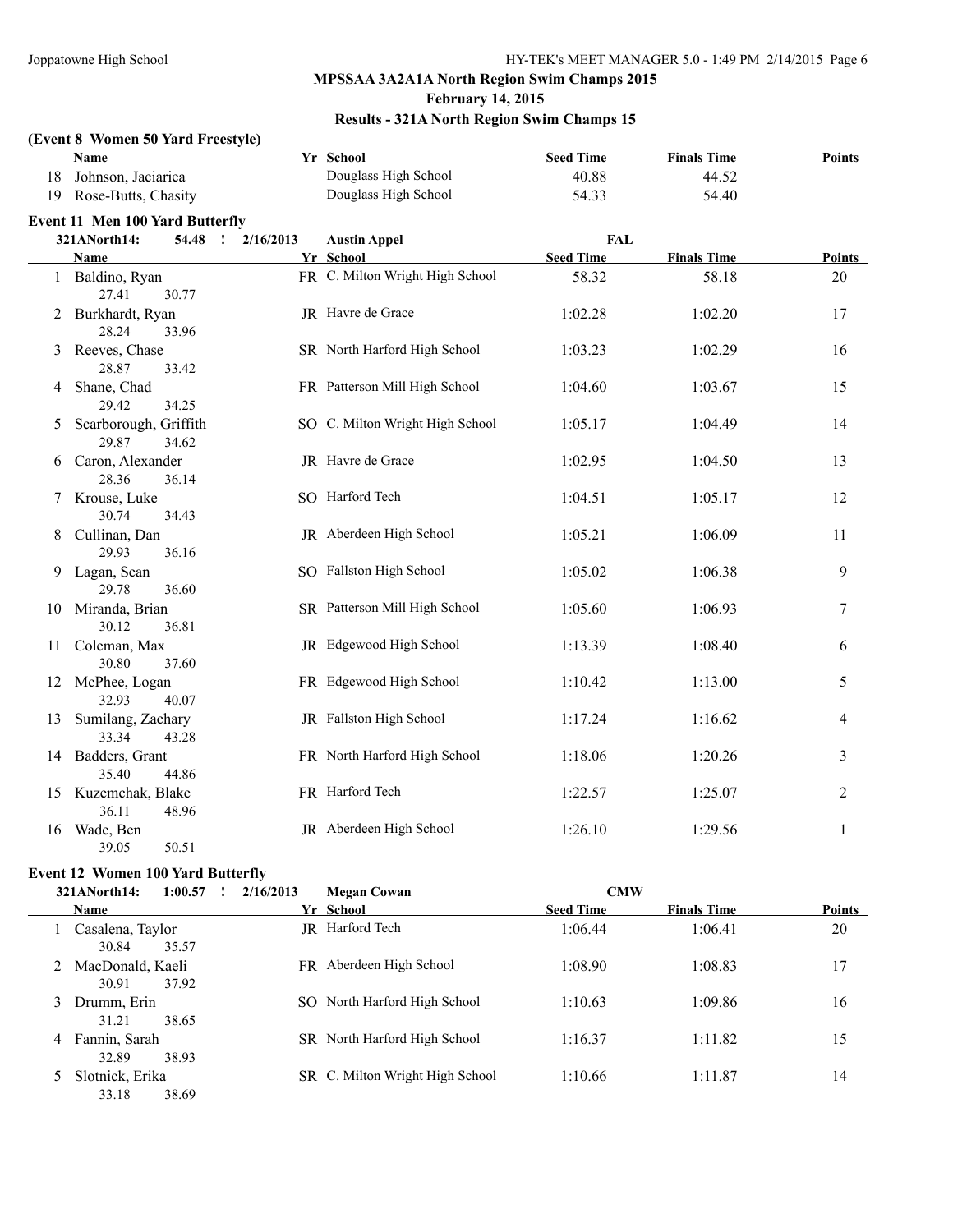#### **February 14, 2015**

#### **Results - 321A North Region Swim Champs 15**

#### **(Event 8 Women 50 Yard Freestyle)**

|    | Name                                    |           | Yr School                       | <b>Seed Time</b> | <b>Finals Time</b> | <b>Points</b>  |
|----|-----------------------------------------|-----------|---------------------------------|------------------|--------------------|----------------|
| 18 | Johnson, Jaciariea                      |           | Douglass High School            | 40.88            | 44.52              |                |
| 19 | Rose-Butts, Chasity                     |           | Douglass High School            | 54.33            | 54.40              |                |
|    | <b>Event 11 Men 100 Yard Butterfly</b>  |           |                                 |                  |                    |                |
|    | 321ANorth14:<br>54.48 !                 | 2/16/2013 | <b>Austin Appel</b>             | <b>FAL</b>       |                    |                |
|    | Name                                    |           | Yr School                       | <b>Seed Time</b> | <b>Finals Time</b> | <b>Points</b>  |
|    | Baldino, Ryan<br>27.41<br>30.77         |           | FR C. Milton Wright High School | 58.32            | 58.18              | 20             |
| 2  | Burkhardt, Ryan<br>28.24<br>33.96       |           | JR Havre de Grace               | 1:02.28          | 1:02.20            | 17             |
| 3  | Reeves, Chase<br>28.87<br>33.42         |           | SR North Harford High School    | 1:03.23          | 1:02.29            | 16             |
| 4  | Shane, Chad<br>29.42<br>34.25           |           | FR Patterson Mill High School   | 1:04.60          | 1:03.67            | 15             |
| 5  | Scarborough, Griffith<br>29.87<br>34.62 |           | SO C. Milton Wright High School | 1:05.17          | 1:04.49            | 14             |
| 6  | Caron, Alexander<br>28.36<br>36.14      |           | JR Havre de Grace               | 1:02.95          | 1:04.50            | 13             |
|    | Krouse, Luke<br>30.74<br>34.43          |           | SO Harford Tech                 | 1:04.51          | 1:05.17            | 12             |
| 8  | Cullinan, Dan<br>29.93<br>36.16         |           | JR Aberdeen High School         | 1:05.21          | 1:06.09            | 11             |
| 9  | Lagan, Sean<br>29.78<br>36.60           |           | SO Fallston High School         | 1:05.02          | 1:06.38            | 9              |
| 10 | Miranda, Brian<br>30.12<br>36.81        |           | SR Patterson Mill High School   | 1:05.60          | 1:06.93            | 7              |
| 11 | Coleman, Max<br>30.80<br>37.60          |           | JR Edgewood High School         | 1:13.39          | 1:08.40            | 6              |
|    | 12 McPhee, Logan<br>32.93<br>40.07      |           | FR Edgewood High School         | 1:10.42          | 1:13.00            | 5              |
| 13 | Sumilang, Zachary<br>33.34<br>43.28     |           | JR Fallston High School         | 1:17.24          | 1:16.62            | 4              |
|    | 14 Badders, Grant<br>35.40<br>44.86     |           | FR North Harford High School    | 1:18.06          | 1:20.26            | 3              |
|    | 15 Kuzemchak, Blake<br>36.11<br>48.96   |           | FR Harford Tech                 | 1:22.57          | 1:25.07            | $\overline{c}$ |
| 16 | Wade, Ben<br>39.05<br>50.51             |           | JR Aberdeen High School         | 1:26.10          | 1:29.56            | 1              |

#### **Event 12 Women 100 Yard Butterfly**

|   | 321ANorth14:                | 1:00.57 | 2/16/2013 | <b>Megan Cowan</b>              | <b>CMW</b>       |                    |               |
|---|-----------------------------|---------|-----------|---------------------------------|------------------|--------------------|---------------|
|   | <b>Name</b>                 |         |           | Yr School                       | <b>Seed Time</b> | <b>Finals Time</b> | <b>Points</b> |
|   | Casalena, Taylor<br>30.84   | 35.57   | JR        | Harford Tech                    | 1:06.44          | 1:06.41            | 20            |
|   | 2 MacDonald, Kaeli<br>30.91 | 37.92   | FR.       | Aberdeen High School            | 1:08.90          | 1:08.83            | 17            |
| 3 | Drumm, Erin<br>31.21        | 38.65   |           | SO North Harford High School    | 1:10.63          | 1:09.86            | 16            |
| 4 | Fannin, Sarah<br>32.89      | 38.93   |           | SR North Harford High School    | 1:16.37          | 1:11.82            | 15            |
|   | Slotnick, Erika<br>33.18    | 38.69   |           | SR C. Milton Wright High School | 1:10.66          | 1:11.87            | 14            |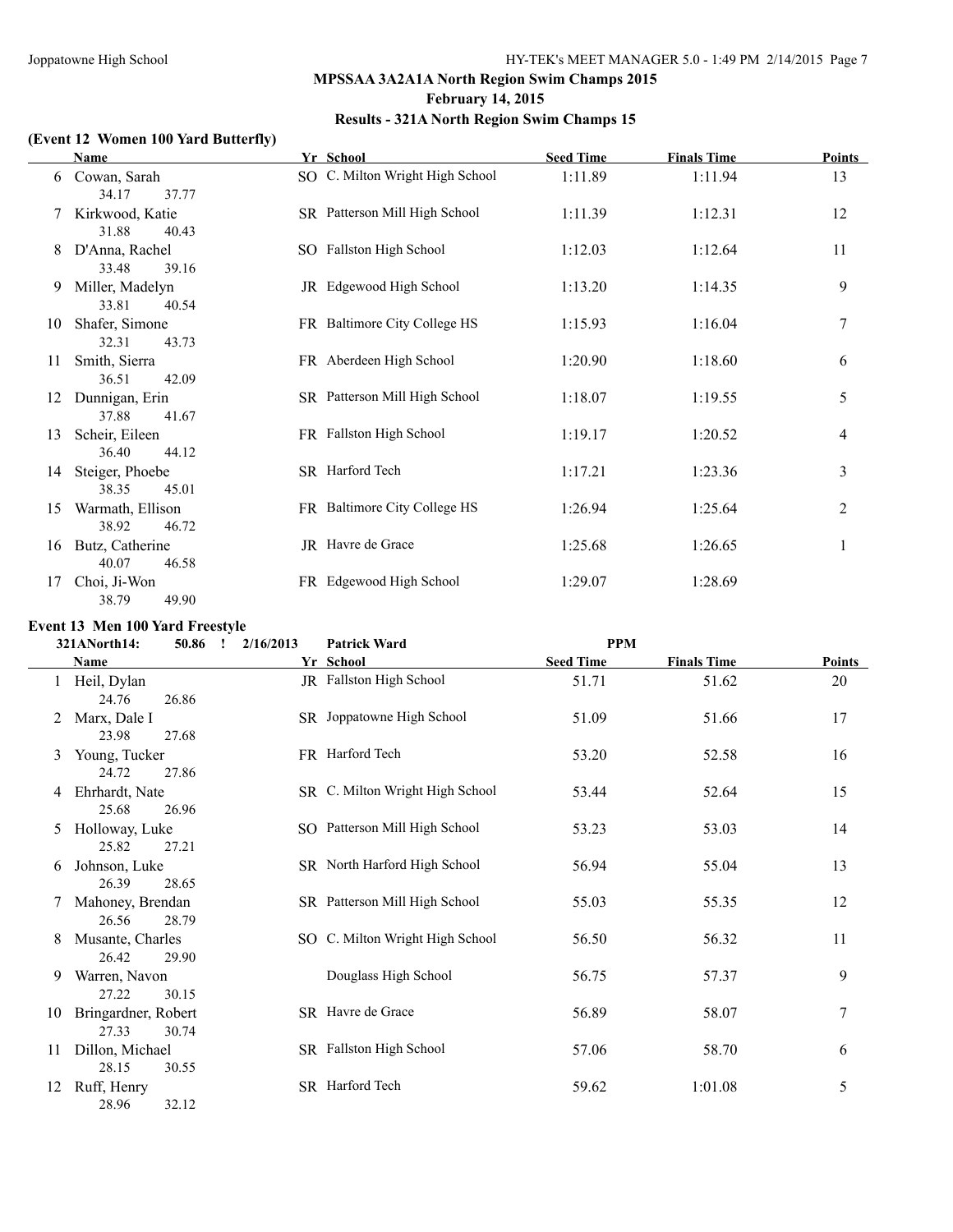#### **MPSSAA 3A2A1A North Region Swim Champs 2015 February 14, 2015**

#### **Results - 321A North Region Swim Champs 15**

#### **(Event 12 Women 100 Yard Butterfly)**

|    | <b>Name</b>                        | Yr School                       | <b>Seed Time</b> | <b>Finals Time</b> | <b>Points</b> |
|----|------------------------------------|---------------------------------|------------------|--------------------|---------------|
| 6  | Cowan, Sarah<br>37.77<br>34.17     | SO C. Milton Wright High School | 1:11.89          | 1:11.94            | 13            |
| 7  | Kirkwood, Katie<br>31.88<br>40.43  | SR Patterson Mill High School   | 1:11.39          | 1:12.31            | 12            |
| 8  | D'Anna, Rachel<br>33.48<br>39.16   | SO Fallston High School         | 1:12.03          | 1:12.64            | 11            |
| 9  | Miller, Madelyn<br>33.81<br>40.54  | JR Edgewood High School         | 1:13.20          | 1:14.35            | 9             |
| 10 | Shafer, Simone<br>32.31<br>43.73   | FR Baltimore City College HS    | 1:15.93          | 1:16.04            | 7             |
| 11 | Smith, Sierra<br>36.51<br>42.09    | FR Aberdeen High School         | 1:20.90          | 1:18.60            | 6             |
| 12 | Dunnigan, Erin<br>37.88<br>41.67   | SR Patterson Mill High School   | 1:18.07          | 1:19.55            | 5             |
| 13 | Scheir, Eileen<br>36.40<br>44.12   | FR Fallston High School         | 1:19.17          | 1:20.52            | 4             |
| 14 | Steiger, Phoebe<br>45.01<br>38.35  | SR Harford Tech                 | 1:17.21          | 1:23.36            | 3             |
| 15 | Warmath, Ellison<br>38.92<br>46.72 | FR Baltimore City College HS    | 1:26.94          | 1:25.64            | 2             |
| 16 | Butz, Catherine<br>40.07<br>46.58  | JR Havre de Grace               | 1:25.68          | 1:26.65            | 1             |
| 17 | Choi, Ji-Won<br>49.90<br>38.79     | FR Edgewood High School         | 1:29.07          | 1:28.69            |               |

#### **Event 13 Men 100 Yard Freestyle**

|    | 50.86<br>321ANorth14:                 | $\mathbf{r}$ | 2/16/2013 | <b>Patrick Ward</b>             | <b>PPM</b>       |                    |                  |
|----|---------------------------------------|--------------|-----------|---------------------------------|------------------|--------------------|------------------|
|    | Name                                  |              |           | Yr School                       | <b>Seed Time</b> | <b>Finals Time</b> | <b>Points</b>    |
|    | Heil, Dylan<br>24.76<br>26.86         |              |           | JR Fallston High School         | 51.71            | 51.62              | 20               |
| 2  | Marx, Dale I<br>23.98<br>27.68        |              |           | SR Joppatowne High School       | 51.09            | 51.66              | 17               |
| 3  | Young, Tucker<br>24.72<br>27.86       |              |           | FR Harford Tech                 | 53.20            | 52.58              | 16               |
| 4  | Ehrhardt, Nate<br>25.68<br>26.96      |              |           | SR C. Milton Wright High School | 53.44            | 52.64              | 15               |
| 5  | Holloway, Luke<br>25.82<br>27.21      |              |           | SO Patterson Mill High School   | 53.23            | 53.03              | 14               |
| 6  | Johnson, Luke<br>26.39<br>28.65       |              |           | SR North Harford High School    | 56.94            | 55.04              | 13               |
|    | Mahoney, Brendan<br>26.56<br>28.79    |              |           | SR Patterson Mill High School   | 55.03            | 55.35              | 12               |
| 8  | Musante, Charles<br>26.42<br>29.90    |              |           | SO C. Milton Wright High School | 56.50            | 56.32              | 11               |
| 9  | Warren, Navon<br>27.22<br>30.15       |              |           | Douglass High School            | 56.75            | 57.37              | 9                |
| 10 | Bringardner, Robert<br>27.33<br>30.74 |              |           | SR Havre de Grace               | 56.89            | 58.07              | $\boldsymbol{7}$ |
| 11 | Dillon, Michael<br>28.15<br>30.55     |              |           | SR Fallston High School         | 57.06            | 58.70              | 6                |
| 12 | Ruff, Henry<br>28.96<br>32.12         |              |           | SR Harford Tech                 | 59.62            | 1:01.08            | 5                |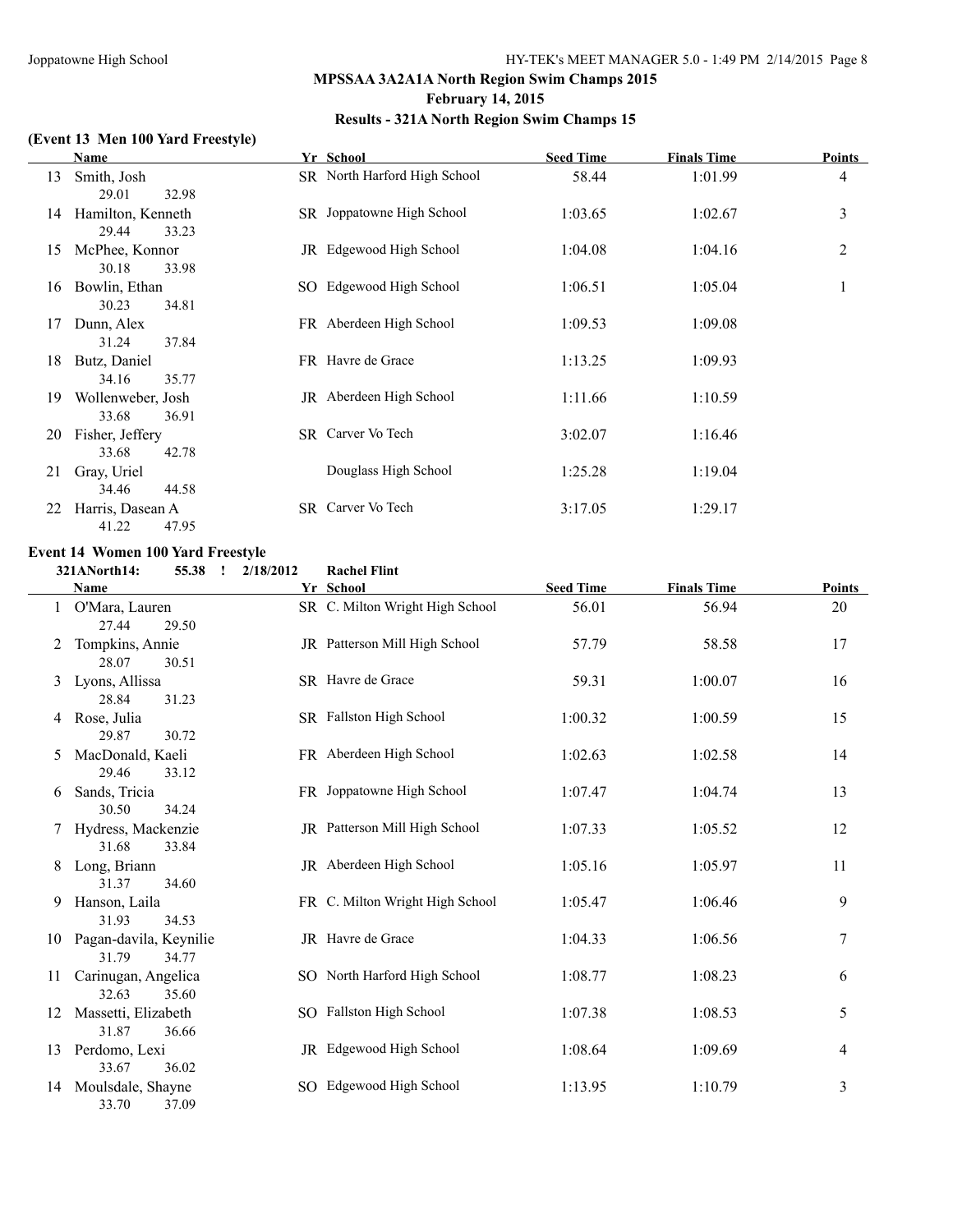#### **MPSSAA 3A2A1A North Region Swim Champs 2015 February 14, 2015**

#### **Results - 321A North Region Swim Champs 15**

#### **(Event 13 Men 100 Yard Freestyle)**

|    | Name              | Yr School                    | <b>Seed Time</b> | <b>Finals Time</b> | Points         |
|----|-------------------|------------------------------|------------------|--------------------|----------------|
| 13 | Smith, Josh       | SR North Harford High School | 58.44            | 1:01.99            | 4              |
|    | 29.01<br>32.98    |                              |                  |                    |                |
| 14 | Hamilton, Kenneth | SR Joppatowne High School    | 1:03.65          | 1:02.67            | 3              |
|    | 29.44<br>33.23    |                              |                  |                    |                |
| 15 | McPhee, Konnor    | JR Edgewood High School      | 1:04.08          | 1:04.16            | $\overline{c}$ |
|    | 30.18<br>33.98    |                              |                  |                    |                |
| 16 | Bowlin, Ethan     | SO Edgewood High School      | 1:06.51          | 1:05.04            | 1              |
|    | 30.23<br>34.81    |                              |                  |                    |                |
| 17 | Dunn, Alex        | FR Aberdeen High School      | 1:09.53          | 1:09.08            |                |
|    | 31.24<br>37.84    |                              |                  |                    |                |
| 18 | Butz, Daniel      | FR Havre de Grace            | 1:13.25          | 1:09.93            |                |
|    | 34.16<br>35.77    |                              |                  |                    |                |
| 19 | Wollenweber, Josh | JR Aberdeen High School      | 1:11.66          | 1:10.59            |                |
|    | 33.68<br>36.91    |                              |                  |                    |                |
| 20 | Fisher, Jeffery   | SR Carver Vo Tech            | 3:02.07          | 1:16.46            |                |
|    | 33.68<br>42.78    |                              |                  |                    |                |
| 21 | Gray, Uriel       | Douglass High School         | 1:25.28          | 1:19.04            |                |
|    | 34.46<br>44.58    |                              |                  |                    |                |
| 22 | Harris, Dasean A  | SR Carver Vo Tech            | 3:17.05          | 1:29.17            |                |
|    | 41.22<br>47.95    |                              |                  |                    |                |

# **Event 14 Women 100 Yard Freestyle**<br>321ANorth14: 55.38 : 2/18/

|    | 321ANorth14:<br>55.38<br>$\mathbf{I}$    | 2/18/2012 | <b>Rachel Flint</b>             |                  |                    |                  |
|----|------------------------------------------|-----------|---------------------------------|------------------|--------------------|------------------|
|    | Name                                     |           | Yr School                       | <b>Seed Time</b> | <b>Finals Time</b> | Points           |
|    | O'Mara, Lauren<br>27.44<br>29.50         |           | SR C. Milton Wright High School | 56.01            | 56.94              | 20               |
|    | Tompkins, Annie<br>28.07<br>30.51        |           | JR Patterson Mill High School   | 57.79            | 58.58              | 17               |
| 3  | Lyons, Allissa<br>28.84<br>31.23         |           | SR Havre de Grace               | 59.31            | 1:00.07            | 16               |
|    | 4 Rose, Julia<br>29.87<br>30.72          |           | SR Fallston High School         | 1:00.32          | 1:00.59            | 15               |
| 5  | MacDonald, Kaeli<br>29.46<br>33.12       |           | FR Aberdeen High School         | 1:02.63          | 1:02.58            | 14               |
| 6  | Sands, Tricia<br>30.50<br>34.24          |           | FR Joppatowne High School       | 1:07.47          | 1:04.74            | 13               |
|    | Hydress, Mackenzie<br>31.68<br>33.84     |           | JR Patterson Mill High School   | 1:07.33          | 1:05.52            | 12               |
| 8  | Long, Briann<br>31.37<br>34.60           |           | JR Aberdeen High School         | 1:05.16          | 1:05.97            | 11               |
| 9  | Hanson, Laila<br>31.93<br>34.53          |           | FR C. Milton Wright High School | 1:05.47          | 1:06.46            | 9                |
| 10 | Pagan-davila, Keynilie<br>31.79<br>34.77 |           | JR Havre de Grace               | 1:04.33          | 1:06.56            | $\boldsymbol{7}$ |
| 11 | Carinugan, Angelica<br>32.63<br>35.60    |           | SO North Harford High School    | 1:08.77          | 1:08.23            | 6                |
| 12 | Massetti, Elizabeth<br>31.87<br>36.66    |           | SO Fallston High School         | 1:07.38          | 1:08.53            | 5                |
| 13 | Perdomo, Lexi<br>33.67<br>36.02          |           | JR Edgewood High School         | 1:08.64          | 1:09.69            | 4                |
| 14 | Moulsdale, Shayne<br>33.70<br>37.09      |           | SO Edgewood High School         | 1:13.95          | 1:10.79            | $\mathfrak{Z}$   |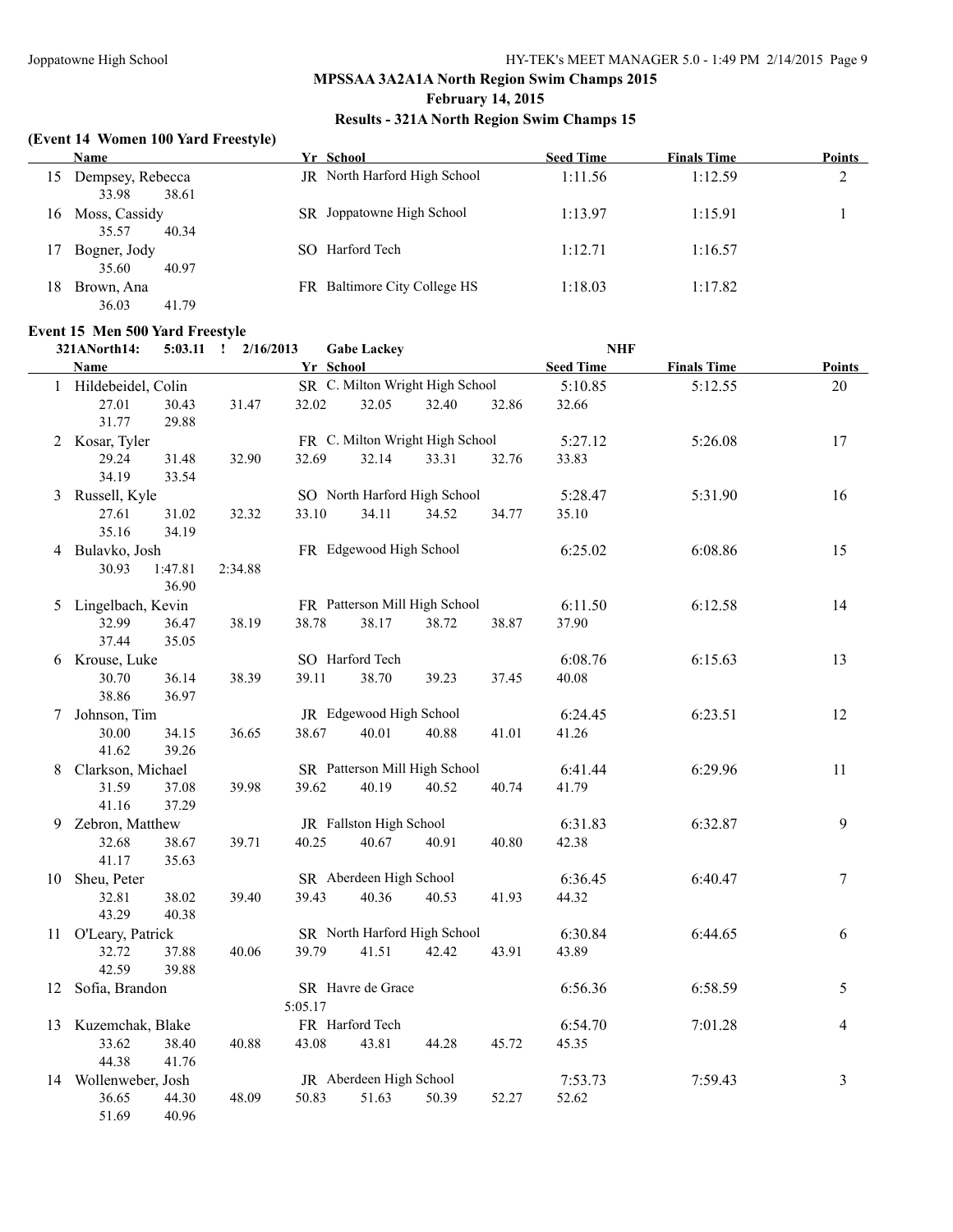#### **February 14, 2015**

#### **Results - 321A North Region Swim Champs 15**

#### **(Event 14 Women 100 Yard Freestyle)**

| Yr School                           | <b>Seed Time</b> | <b>Finals Time</b> | <b>Points</b> |
|-------------------------------------|------------------|--------------------|---------------|
| <b>JR</b> North Harford High School | 1:11.56          | 1:12.59            | ∍<br>∠        |
| SR Joppatowne High School           | 1:13.97          | 1:15.91            |               |
| Harford Tech<br>SO.                 | 1:12.71          | 1:16.57            |               |
| FR Baltimore City College HS        | 1:18.03          | 1:17.82            |               |
|                                     |                  |                    |               |

# **Event 15 Men 500 Yard Freestyle**<br>211 North 14: 5:03.11 1 2/16/2013

| Event Io men ooo laru Freestyle<br>321ANorth14: |                  | $5:03.11$ $\qquad \qquad 2/16/2013$ |           | <b>Gabe Lackey</b>      |                                 |       | <b>NHF</b>       |                    |                  |
|-------------------------------------------------|------------------|-------------------------------------|-----------|-------------------------|---------------------------------|-------|------------------|--------------------|------------------|
| Name                                            |                  |                                     | Yr School |                         |                                 |       | <b>Seed Time</b> | <b>Finals Time</b> | <b>Points</b>    |
| 1 Hildebeidel, Colin                            |                  |                                     |           |                         | SR C. Milton Wright High School |       | 5:10.85          | 5:12.55            | $20\,$           |
| 27.01<br>31.77                                  | 30.43<br>29.88   | 31.47                               | 32.02     | 32.05                   | 32.40                           | 32.86 | 32.66            |                    |                  |
| 2 Kosar, Tyler                                  |                  |                                     |           |                         | FR C. Milton Wright High School |       | 5:27.12          | 5:26.08            | 17               |
| 29.24<br>34.19                                  | 31.48<br>33.54   | 32.90                               | 32.69     | 32.14                   | 33.31                           | 32.76 | 33.83            |                    |                  |
| 3 Russell, Kyle                                 |                  |                                     |           |                         | SO North Harford High School    |       | 5:28.47          | 5:31.90            | 16               |
| 27.61<br>35.16                                  | 31.02<br>34.19   | 32.32                               | 33.10     | 34.11                   | 34.52                           | 34.77 | 35.10            |                    |                  |
| 4 Bulavko, Josh<br>30.93                        | 1:47.81<br>36.90 | 2:34.88                             |           | FR Edgewood High School |                                 |       | 6:25.02          | 6:08.86            | 15               |
| 5 Lingelbach, Kevin                             |                  |                                     |           |                         | FR Patterson Mill High School   |       | 6:11.50          | 6:12.58            | 14               |
| 32.99<br>37.44                                  | 36.47<br>35.05   | 38.19                               | 38.78     | 38.17                   | 38.72                           | 38.87 | 37.90            |                    |                  |
| 6 Krouse, Luke                                  |                  |                                     |           | SO Harford Tech         |                                 |       | 6:08.76          | 6:15.63            | 13               |
| 30.70<br>38.86                                  | 36.14<br>36.97   | 38.39                               | 39.11     | 38.70                   | 39.23                           | 37.45 | 40.08            |                    |                  |
| 7 Johnson, Tim                                  |                  |                                     |           | JR Edgewood High School |                                 |       | 6:24.45          | 6:23.51            | 12               |
| 30.00<br>41.62                                  | 34.15<br>39.26   | 36.65                               | 38.67     | 40.01                   | 40.88                           | 41.01 | 41.26            |                    |                  |
| 8 Clarkson, Michael                             |                  |                                     |           |                         | SR Patterson Mill High School   |       | 6:41.44          | 6:29.96            | 11               |
| 31.59<br>41.16                                  | 37.08<br>37.29   | 39.98                               | 39.62     | 40.19                   | 40.52                           | 40.74 | 41.79            |                    |                  |
| 9 Zebron, Matthew                               |                  |                                     |           | JR Fallston High School |                                 |       | 6:31.83          | 6:32.87            | 9                |
| 32.68<br>41.17                                  | 38.67<br>35.63   | 39.71                               | 40.25     | 40.67                   | 40.91                           | 40.80 | 42.38            |                    |                  |
| 10 Sheu, Peter                                  |                  |                                     |           | SR Aberdeen High School |                                 |       | 6:36.45          | 6:40.47            | $\boldsymbol{7}$ |
| 32.81<br>43.29                                  | 38.02<br>40.38   | 39.40                               | 39.43     | 40.36                   | 40.53                           | 41.93 | 44.32            |                    |                  |
| 11 O'Leary, Patrick                             |                  |                                     |           |                         | SR North Harford High School    |       | 6:30.84          | 6:44.65            | 6                |
| 32.72<br>42.59                                  | 37.88<br>39.88   | 40.06                               | 39.79     | 41.51                   | 42.42                           | 43.91 | 43.89            |                    |                  |
| 12 Sofia, Brandon                               |                  |                                     | 5:05.17   | SR Havre de Grace       |                                 |       | 6:56.36          | 6:58.59            | 5                |
| 13 Kuzemchak, Blake                             |                  |                                     |           | FR Harford Tech         |                                 |       | 6:54.70          | 7:01.28            | $\overline{4}$   |
| 33.62<br>44.38                                  | 38.40<br>41.76   | 40.88                               | 43.08     | 43.81                   | 44.28                           | 45.72 | 45.35            |                    |                  |
| 14 Wollenweber, Josh                            |                  |                                     |           | JR Aberdeen High School |                                 |       | 7:53.73          | 7:59.43            | $\mathfrak{Z}$   |
| 36.65<br>51.69                                  | 44.30<br>40.96   | 48.09                               | 50.83     | 51.63                   | 50.39                           | 52.27 | 52.62            |                    |                  |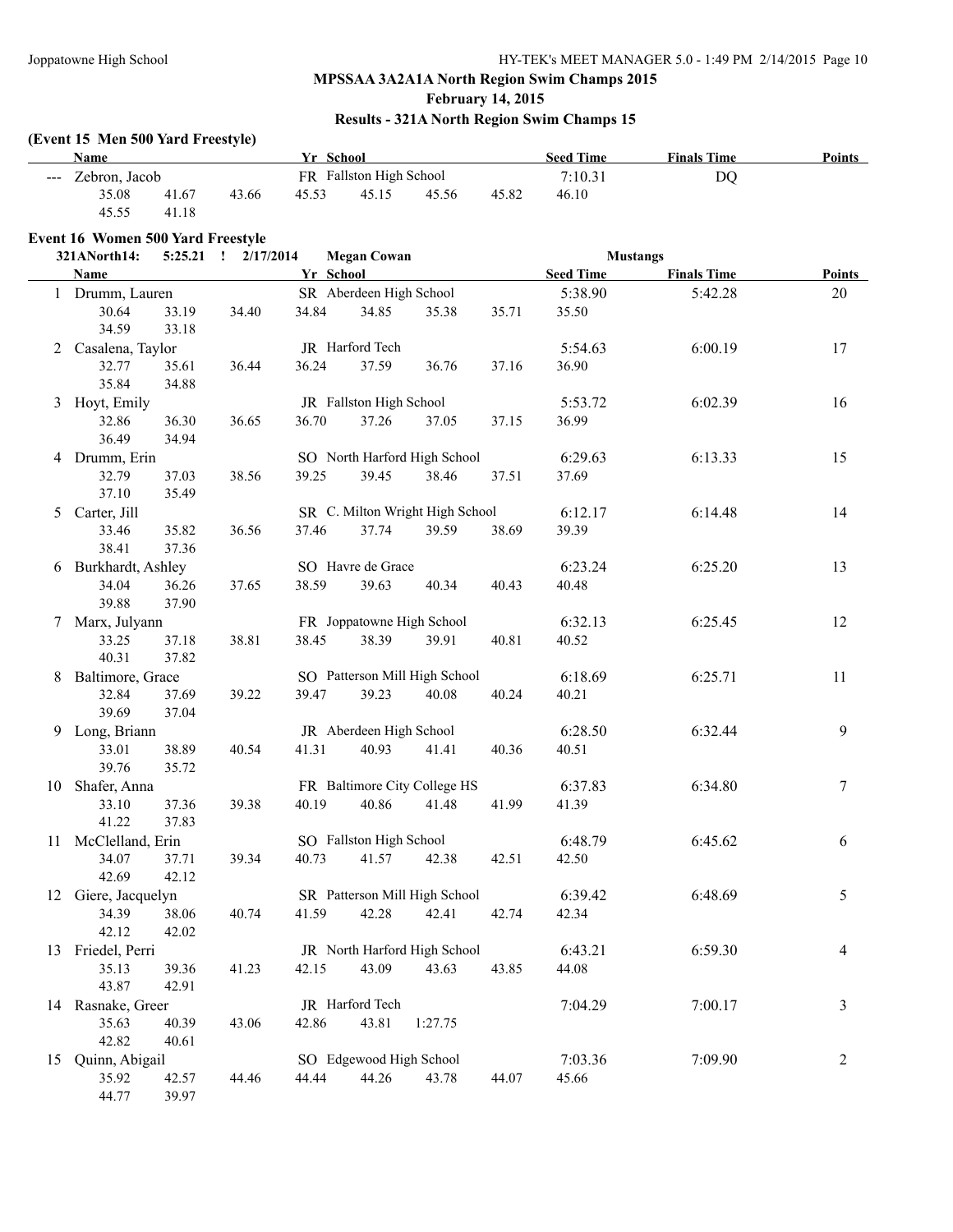#### **February 14, 2015**

#### **Results - 321A North Region Swim Champs 15**

#### **(Event 15 Men 500 Yard Freestyle)**

44.77 39.97

|    | <b>Name</b>                              |                | Yr School |           |                         |                                 |       | <b>Seed Time</b> | <b>Finals Time</b> | <b>Points</b>  |
|----|------------------------------------------|----------------|-----------|-----------|-------------------------|---------------------------------|-------|------------------|--------------------|----------------|
|    | --- Zebron, Jacob                        |                |           |           | FR Fallston High School |                                 |       | 7:10.31          | <b>DQ</b>          |                |
|    | 35.08<br>45.55                           | 41.67<br>41.18 | 43.66     | 45.53     | 45.15                   | 45.56                           | 45.82 | 46.10            |                    |                |
|    | <b>Event 16 Women 500 Yard Freestyle</b> |                |           |           |                         |                                 |       |                  |                    |                |
|    | 321ANorth14:                             |                |           |           | <b>Megan Cowan</b>      |                                 |       | <b>Mustangs</b>  |                    |                |
|    | Name                                     |                |           | Yr School |                         |                                 |       | <b>Seed Time</b> | <b>Finals Time</b> | <b>Points</b>  |
|    | 1 Drumm, Lauren                          |                |           |           | SR Aberdeen High School |                                 |       | 5:38.90          | 5:42.28            | 20             |
|    | 30.64                                    | 33.19          | 34.40     | 34.84     | 34.85                   | 35.38                           | 35.71 | 35.50            |                    |                |
|    | 34.59                                    | 33.18          |           |           |                         |                                 |       |                  |                    |                |
|    | 2 Casalena, Taylor                       |                |           |           | JR Harford Tech         |                                 |       | 5:54.63          | 6:00.19            | 17             |
|    | 32.77                                    | 35.61          | 36.44     | 36.24     | 37.59                   | 36.76                           | 37.16 | 36.90            |                    |                |
|    | 35.84                                    | 34.88          |           |           |                         |                                 |       |                  |                    |                |
|    | 3 Hoyt, Emily                            |                |           |           | JR Fallston High School |                                 |       | 5:53.72          | 6:02.39            | 16             |
|    | 32.86                                    | 36.30          | 36.65     | 36.70     | 37.26                   | 37.05                           | 37.15 | 36.99            |                    |                |
|    | 36.49                                    | 34.94          |           |           |                         |                                 |       |                  |                    |                |
|    | 4 Drumm, Erin                            |                |           |           |                         | SO North Harford High School    |       | 6:29.63          | 6:13.33            | 15             |
|    | 32.79                                    | 37.03          | 38.56     | 39.25     | 39.45                   | 38.46                           | 37.51 | 37.69            |                    |                |
|    | 37.10                                    | 35.49          |           |           |                         |                                 |       |                  |                    |                |
|    | 5 Carter, Jill                           |                |           |           |                         | SR C. Milton Wright High School |       | 6:12.17          | 6:14.48            | 14             |
|    | 33.46                                    | 35.82          | 36.56     | 37.46     | 37.74                   | 39.59                           | 38.69 | 39.39            |                    |                |
|    | 38.41                                    | 37.36          |           |           |                         |                                 |       |                  |                    |                |
|    | 6 Burkhardt, Ashley                      |                |           |           | SO Havre de Grace       |                                 |       | 6:23.24          | 6:25.20            | 13             |
|    | 34.04                                    | 36.26          | 37.65     | 38.59     | 39.63                   | 40.34                           | 40.43 | 40.48            |                    |                |
|    | 39.88                                    | 37.90          |           |           |                         |                                 |       |                  |                    |                |
|    | 7 Marx, Julyann                          |                |           |           |                         | FR Joppatowne High School       |       | 6:32.13          | 6:25.45            | 12             |
|    | 33.25                                    | 37.18          | 38.81     | 38.45     | 38.39                   | 39.91                           | 40.81 | 40.52            |                    |                |
|    | 40.31                                    | 37.82          |           |           |                         |                                 |       |                  |                    |                |
|    | 8 Baltimore, Grace                       |                |           |           |                         | SO Patterson Mill High School   |       | 6:18.69          | 6:25.71            | 11             |
|    | 32.84                                    | 37.69          | 39.22     | 39.47     | 39.23                   | 40.08                           | 40.24 | 40.21            |                    |                |
|    | 39.69                                    | 37.04          |           |           |                         |                                 |       |                  |                    |                |
|    | 9 Long, Briann                           |                |           |           | JR Aberdeen High School |                                 |       | 6:28.50          | 6:32.44            | 9              |
|    | 33.01                                    | 38.89          | 40.54     | 41.31     | 40.93                   | 41.41                           | 40.36 | 40.51            |                    |                |
|    | 39.76                                    | 35.72          |           |           |                         |                                 |       |                  |                    |                |
|    | 10 Shafer, Anna                          |                |           |           |                         | FR Baltimore City College HS    |       | 6:37.83          | 6:34.80            | $\tau$         |
|    | 33.10                                    | 37.36          | 39.38     | 40.19     | 40.86                   | 41.48                           | 41.99 | 41.39            |                    |                |
|    | 41.22                                    | 37.83          |           |           |                         |                                 |       |                  |                    |                |
|    | 11 McClelland, Erin                      |                |           |           | SO Fallston High School |                                 |       | 6:48.79          | 6:45.62            | 6              |
|    | 34.07                                    | 37.71          | 39.34     | 40.73     | 41.57                   | 42.38                           | 42.51 | 42.50            |                    |                |
|    | 42.69                                    | 42.12          |           |           |                         |                                 |       |                  |                    |                |
|    | 12 Giere, Jacquelyn                      |                |           |           |                         | SR Patterson Mill High School   |       | 6:39.42          | 6:48.69            | 5              |
|    | 34.39<br>42.12                           | 38.06          | 40.74     | 41.59     | 42.28                   | 42.41                           | 42.74 | 42.34            |                    |                |
|    |                                          | 42.02          |           |           |                         | JR North Harford High School    |       |                  |                    |                |
|    | 13 Friedel, Perri<br>35.13               |                |           | 42.15     | 43.09                   |                                 |       | 6:43.21<br>44.08 | 6:59.30            | 4              |
|    | 43.87                                    | 39.36<br>42.91 | 41.23     |           |                         | 43.63                           | 43.85 |                  |                    |                |
|    | 14 Rasnake, Greer                        |                |           |           | JR Harford Tech         |                                 |       | 7:04.29          | 7:00.17            | 3              |
|    | 35.63                                    | 40.39          | 43.06     | 42.86     | 43.81                   | 1:27.75                         |       |                  |                    |                |
|    | 42.82                                    | 40.61          |           |           |                         |                                 |       |                  |                    |                |
| 15 | Quinn, Abigail                           |                |           |           | SO Edgewood High School |                                 |       | 7:03.36          | 7:09.90            | $\overline{2}$ |
|    | 35.92                                    | 42.57          | 44.46     | 44.44     | 44.26                   | 43.78                           | 44.07 | 45.66            |                    |                |
|    |                                          |                |           |           |                         |                                 |       |                  |                    |                |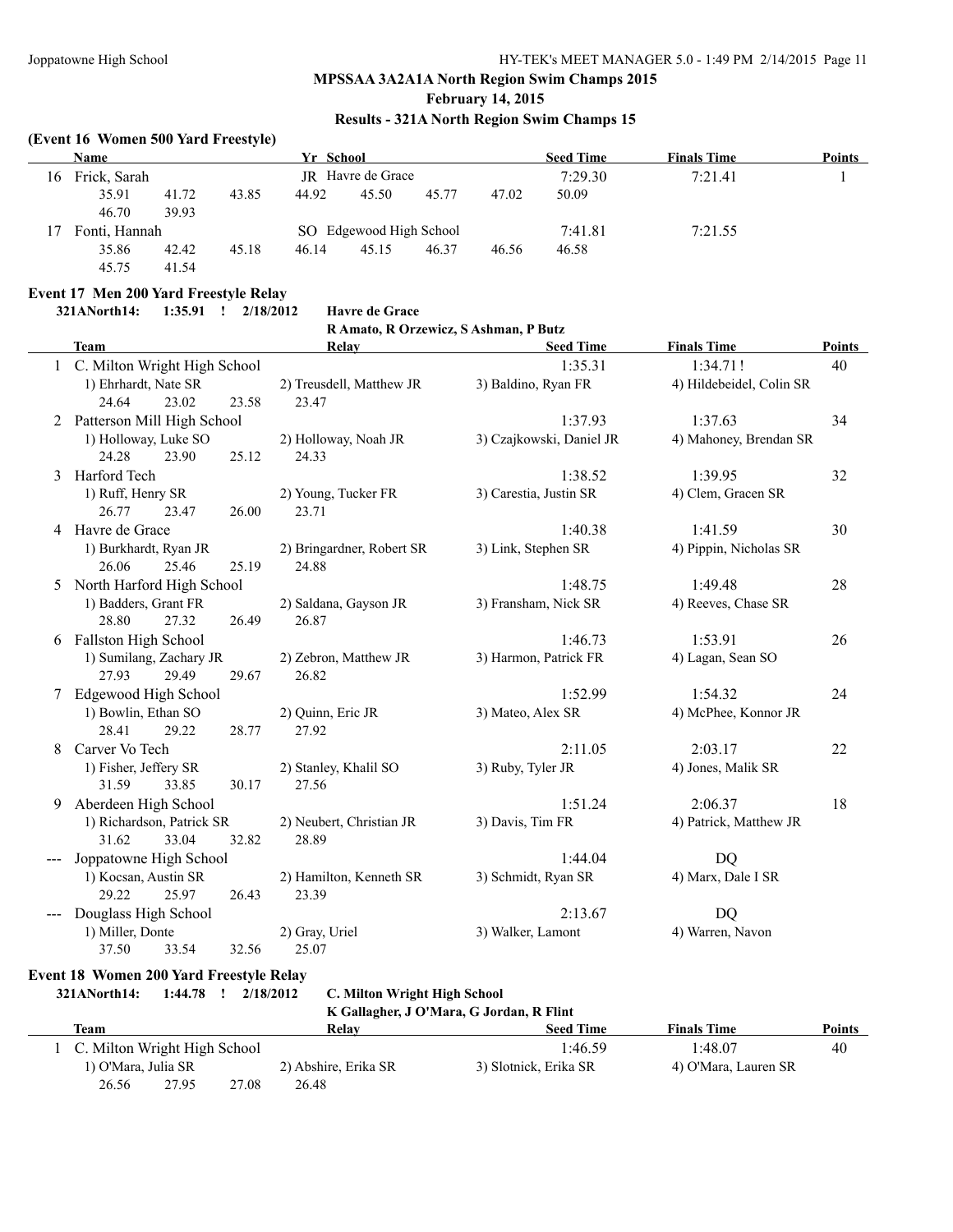#### **February 14, 2015**

#### **Results - 321A North Region Swim Champs 15**

#### **(Event 16 Women 500 Yard Freestyle)**

|    | Name          |       |       | Yr School |                         |       |       | <b>Seed Time</b> | <b>Finals Time</b> | <b>Points</b> |
|----|---------------|-------|-------|-----------|-------------------------|-------|-------|------------------|--------------------|---------------|
| 16 | Frick, Sarah  |       |       |           | JR Havre de Grace       |       |       | 7:29.30          | 7:21.41            |               |
|    | 35.91         | 41.72 | 43.85 | 44.92     | 45.50                   | 45.77 | 47.02 | 50.09            |                    |               |
|    | 46.70         | 39.93 |       |           |                         |       |       |                  |                    |               |
|    | Fonti, Hannah |       |       |           | SO Edgewood High School |       |       | 7:41.81          | 7:21.55            |               |
|    | 35.86         | 42.42 | 45.18 | 46.14     | 45.15                   | 46.37 | 46.56 | 46.58            |                    |               |
|    | 45.75         | 41.54 |       |           |                         |       |       |                  |                    |               |

#### **Event 17 Men 200 Yard Freestyle Relay**

**321ANorth14: 1:35.91 ! 2/18/2012 Havre de Grace**

#### **R Amato, R Orzewicz, S Ashman, P Butz**

|   | <b>Team</b>                    |       | <b>Relay</b>              | <b>Seed Time</b>         | <b>Finals Time</b>       | <b>Points</b> |
|---|--------------------------------|-------|---------------------------|--------------------------|--------------------------|---------------|
|   | 1 C. Milton Wright High School |       |                           | 1:35.31                  | 1:34.71!                 | 40            |
|   | 1) Ehrhardt, Nate SR           |       | 2) Treusdell, Matthew JR  | 3) Baldino, Ryan FR      | 4) Hildebeidel, Colin SR |               |
|   | 23.02<br>24.64                 | 23.58 | 23.47                     |                          |                          |               |
|   | Patterson Mill High School     |       |                           | 1:37.93                  | 1:37.63                  | 34            |
|   | 1) Holloway, Luke SO           |       | 2) Holloway, Noah JR      | 3) Czajkowski, Daniel JR | 4) Mahoney, Brendan SR   |               |
|   | 24.28<br>23.90                 | 25.12 | 24.33                     |                          |                          |               |
| 3 | Harford Tech                   |       |                           | 1:38.52                  | 1:39.95                  | 32            |
|   | 1) Ruff, Henry SR              |       | 2) Young, Tucker FR       | 3) Carestia, Justin SR   | 4) Clem, Gracen SR       |               |
|   | 26.77<br>23.47                 | 26.00 | 23.71                     |                          |                          |               |
|   | 4 Havre de Grace               |       |                           | 1:40.38                  | 1:41.59                  | 30            |
|   | 1) Burkhardt, Ryan JR          |       | 2) Bringardner, Robert SR | 3) Link, Stephen SR      | 4) Pippin, Nicholas SR   |               |
|   | 26.06<br>25.46                 | 25.19 | 24.88                     |                          |                          |               |
| 5 | North Harford High School      |       |                           | 1:48.75                  | 1:49.48                  | 28            |
|   | 1) Badders, Grant FR           |       | 2) Saldana, Gayson JR     | 3) Fransham, Nick SR     | 4) Reeves, Chase SR      |               |
|   | 28.80<br>27.32                 | 26.49 | 26.87                     |                          |                          |               |
|   | 6 Fallston High School         |       |                           | 1:46.73                  | 1:53.91                  | 26            |
|   | 1) Sumilang, Zachary JR        |       | 2) Zebron, Matthew JR     | 3) Harmon, Patrick FR    | 4) Lagan, Sean SO        |               |
|   | 27.93<br>29.49                 | 29.67 | 26.82                     |                          |                          |               |
|   | Edgewood High School           |       |                           | 1:52.99                  | 1:54.32                  | 24            |
|   | 1) Bowlin, Ethan SO            |       | 2) Quinn, Eric JR         | 3) Mateo, Alex SR        | 4) McPhee, Konnor JR     |               |
|   | 28.41<br>29.22                 | 28.77 | 27.92                     |                          |                          |               |
| 8 | Carver Vo Tech                 |       |                           | 2:11.05                  | 2:03.17                  | 22            |
|   | 1) Fisher, Jeffery SR          |       | 2) Stanley, Khalil SO     | 3) Ruby, Tyler JR        | 4) Jones, Malik SR       |               |
|   | 31.59<br>33.85                 | 30.17 | 27.56                     |                          |                          |               |
| 9 | Aberdeen High School           |       |                           | 1:51.24                  | 2:06.37                  | 18            |
|   | 1) Richardson, Patrick SR      |       | 2) Neubert, Christian JR  | 3) Davis, Tim FR         | 4) Patrick, Matthew JR   |               |
|   | 31.62<br>33.04                 | 32.82 | 28.89                     |                          |                          |               |
|   | Joppatowne High School         |       |                           | 1:44.04                  | <b>DQ</b>                |               |
|   | 1) Kocsan, Austin SR           |       | 2) Hamilton, Kenneth SR   | 3) Schmidt, Ryan SR      | 4) Marx, Dale I SR       |               |
|   | 29.22<br>25.97                 | 26.43 | 23.39                     |                          |                          |               |
|   | Douglass High School           |       |                           | 2:13.67                  | DQ                       |               |
|   | 1) Miller, Donte               |       | 2) Gray, Uriel            | 3) Walker, Lamont        | 4) Warren, Navon         |               |
|   | 37.50<br>33.54                 | 32.56 | 25.07                     |                          |                          |               |

#### **Event 18 Women 200 Yard Freestyle Relay**

**321ANorth14: 1:44.78 ! 2/18/2012 C. Milton Wright High School**

**K Gallagher, J O'Mara, G Jordan, R Flint**

|                              |       |                      | A Ganagher, J O Mara, G Jordan, A Finit |                      |        |
|------------------------------|-------|----------------------|-----------------------------------------|----------------------|--------|
| <b>Team</b>                  |       | Relay                | <b>Seed Time</b>                        | <b>Finals Time</b>   | Points |
| C. Milton Wright High School |       |                      | 1:46.59                                 | 1:48.07              | 40     |
| 1) O'Mara, Julia SR          |       | 2) Abshire, Erika SR | 3) Slotnick, Erika SR                   | 4) O'Mara, Lauren SR |        |
| 26.56<br>27.95               | 27.08 | 26.48                |                                         |                      |        |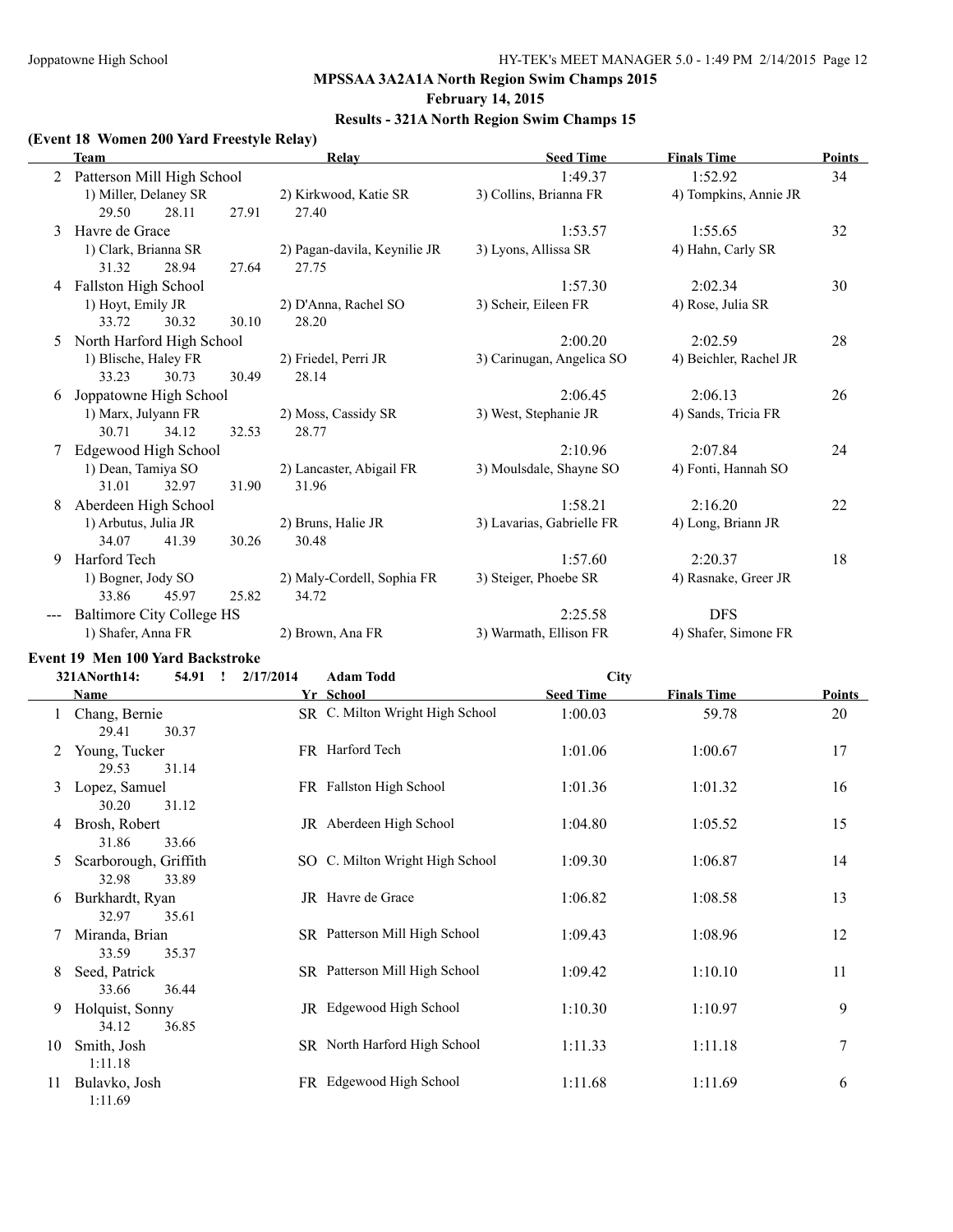#### **February 14, 2015**

#### **Results - 321A North Region Swim Champs 15**

#### **(Event 18 Women 200 Yard Freestyle Relay)**

|   | Team                             |       | Relay                        | <b>Seed Time</b>          | <b>Finals Time</b>     | Points |
|---|----------------------------------|-------|------------------------------|---------------------------|------------------------|--------|
| 2 | Patterson Mill High School       |       |                              | 1:49.37                   | 1:52.92                | 34     |
|   | 1) Miller, Delaney SR            |       | 2) Kirkwood, Katie SR        | 3) Collins, Brianna FR    | 4) Tompkins, Annie JR  |        |
|   | 29.50<br>28.11                   | 27.91 | 27.40                        |                           |                        |        |
| 3 | Havre de Grace                   |       |                              | 1:53.57                   | 1:55.65                | 32     |
|   | 1) Clark, Brianna SR             |       | 2) Pagan-davila, Keynilie JR | 3) Lyons, Allissa SR      | 4) Hahn, Carly SR      |        |
|   | 31.32<br>28.94                   | 27.64 | 27.75                        |                           |                        |        |
| 4 | Fallston High School             |       |                              | 1:57.30                   | 2:02.34                | 30     |
|   | 1) Hoyt, Emily JR                |       | 2) D'Anna, Rachel SO         | 3) Scheir, Eileen FR      | 4) Rose, Julia SR      |        |
|   | 33.72<br>30.32                   | 30.10 | 28.20                        |                           |                        |        |
| 5 | North Harford High School        |       |                              | 2:00.20                   | 2:02.59                | 28     |
|   | 1) Blische, Haley FR             |       | 2) Friedel, Perri JR         | 3) Carinugan, Angelica SO | 4) Beichler, Rachel JR |        |
|   | 33.23<br>30.73                   | 30.49 | 28.14                        |                           |                        |        |
| 6 | Joppatowne High School           |       |                              | 2:06.45                   | 2:06.13                | 26     |
|   | 1) Marx, Julyann FR              |       | 2) Moss, Cassidy SR          | 3) West, Stephanie JR     | 4) Sands, Tricia FR    |        |
|   | 30.71<br>34.12                   | 32.53 | 28.77                        |                           |                        |        |
|   | Edgewood High School             |       |                              | 2:10.96                   | 2:07.84                | 24     |
|   | 1) Dean, Tamiya SO               |       | 2) Lancaster, Abigail FR     | 3) Moulsdale, Shayne SO   | 4) Fonti, Hannah SO    |        |
|   | 31.01<br>32.97                   | 31.90 | 31.96                        |                           |                        |        |
| 8 | Aberdeen High School             |       |                              | 1:58.21                   | 2:16.20                | 22     |
|   | 1) Arbutus, Julia JR             |       | 2) Bruns, Halie JR           | 3) Lavarias, Gabrielle FR | 4) Long, Briann JR     |        |
|   | 34.07<br>41.39                   | 30.26 | 30.48                        |                           |                        |        |
| 9 | Harford Tech                     |       |                              | 1:57.60                   | 2:20.37                | 18     |
|   | 1) Bogner, Jody SO               |       | 2) Maly-Cordell, Sophia FR   | 3) Steiger, Phoebe SR     | 4) Rasnake, Greer JR   |        |
|   | 33.86<br>45.97                   | 25.82 | 34.72                        |                           |                        |        |
|   | <b>Baltimore City College HS</b> |       |                              | 2:25.58                   | <b>DFS</b>             |        |
|   | 1) Shafer, Anna FR               |       | 2) Brown, Ana FR             | 3) Warmath, Ellison FR    | 4) Shafer, Simone FR   |        |

# **Event 19 Men 100 Yard Backstroke**<br>211 North 14 **1971** 12/17/2014

|    | 321ANorth14:<br>54.91                   | 2/17/2014<br>$\mathbf{r}$ | <b>Adam Todd</b>                | <b>City</b>      |                    |               |
|----|-----------------------------------------|---------------------------|---------------------------------|------------------|--------------------|---------------|
|    | <b>Name</b>                             |                           | Yr School                       | <b>Seed Time</b> | <b>Finals Time</b> | <b>Points</b> |
|    | Chang, Bernie<br>30.37<br>29.41         |                           | SR C. Milton Wright High School | 1:00.03          | 59.78              | 20            |
|    | Young, Tucker<br>29.53<br>31.14         |                           | FR Harford Tech                 | 1:01.06          | 1:00.67            | 17            |
| 3  | Lopez, Samuel<br>30.20<br>31.12         |                           | FR Fallston High School         | 1:01.36          | 1:01.32            | 16            |
| 4  | Brosh, Robert<br>31.86<br>33.66         |                           | JR Aberdeen High School         | 1:04.80          | 1:05.52            | 15            |
| 5  | Scarborough, Griffith<br>32.98<br>33.89 |                           | SO C. Milton Wright High School | 1:09.30          | 1:06.87            | 14            |
| 6  | Burkhardt, Ryan<br>32.97<br>35.61       |                           | JR Havre de Grace               | 1:06.82          | 1:08.58            | 13            |
|    | Miranda, Brian<br>33.59<br>35.37        |                           | SR Patterson Mill High School   | 1:09.43          | 1:08.96            | 12            |
| 8  | Seed, Patrick<br>33.66<br>36.44         |                           | SR Patterson Mill High School   | 1:09.42          | 1:10.10            | 11            |
| 9  | Holquist, Sonny<br>34.12<br>36.85       |                           | JR Edgewood High School         | 1:10.30          | 1:10.97            | 9             |
| 10 | Smith, Josh<br>1:11.18                  |                           | SR North Harford High School    | 1:11.33          | 1:11.18            | 7             |
| 11 | Bulavko, Josh<br>1:11.69                |                           | FR Edgewood High School         | 1:11.68          | 1:11.69            | 6             |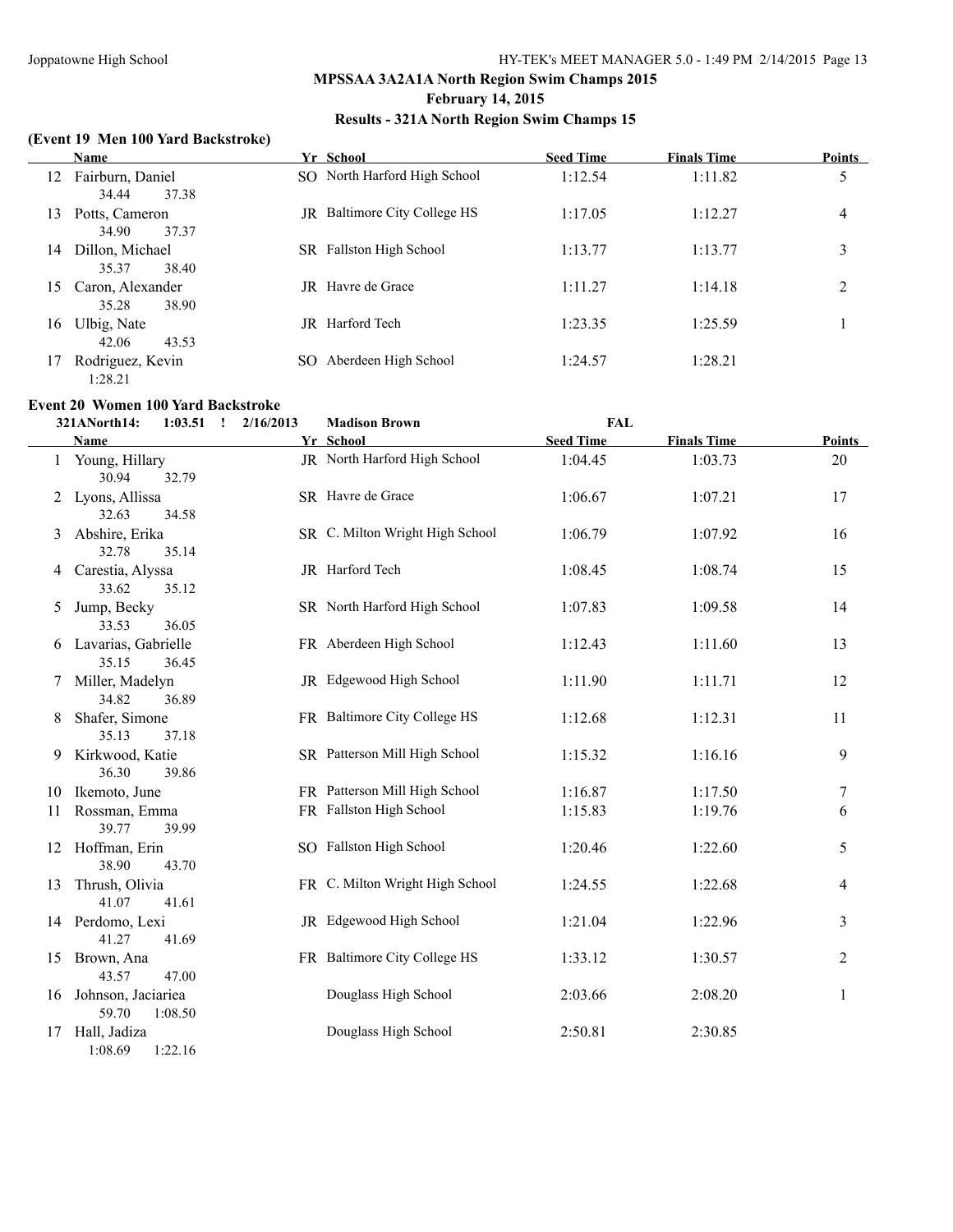#### **February 14, 2015**

### **Results - 321A North Region Swim Champs 15**

#### **(Event 19 Men 100 Yard Backstroke)**

|    | <b>Name</b>                        | Yr School                          | <b>Seed Time</b> | <b>Finals Time</b> | <b>Points</b>  |
|----|------------------------------------|------------------------------------|------------------|--------------------|----------------|
| 12 | Fairburn, Daniel<br>34.44<br>37.38 | SO North Harford High School       | 1:12.54          | 1:11.82            | 5              |
| 13 | Potts, Cameron<br>34.90<br>37.37   | Baltimore City College HS<br>JR    | 1:17.05          | 1:12.27            | $\overline{4}$ |
| 14 | Dillon, Michael<br>38.40<br>35.37  | <b>Fallston High School</b><br>SR. | 1:13.77          | 1:13.77            | 3              |
| 15 | Caron, Alexander<br>35.28<br>38.90 | <b>IR</b> Havre de Grace           | 1:11.27          | 1:14.18            | 2              |
| 16 | Ulbig, Nate<br>42.06<br>43.53      | Harford Tech<br>JR.                | 1:23.35          | 1:25.59            |                |
| 17 | Rodriguez, Kevin<br>1:28.21        | Aberdeen High School<br>SO.        | 1:24.57          | 1:28.21            |                |

#### **Event 20 Women 100 Yard Backstroke**

|    | 321ANorth14:                   | 1:03.51<br>$\mathbf{I}$ | 2/16/2013 | <b>Madison Brown</b>            | <b>FAL</b>       |                    |                  |
|----|--------------------------------|-------------------------|-----------|---------------------------------|------------------|--------------------|------------------|
|    | Name                           |                         |           | Yr School                       | <b>Seed Time</b> | <b>Finals Time</b> | <b>Points</b>    |
|    | 1 Young, Hillary<br>30.94      | 32.79                   |           | JR North Harford High School    | 1:04.45          | 1:03.73            | 20               |
|    | 2 Lyons, Allissa<br>32.63      | 34.58                   |           | SR Havre de Grace               | 1:06.67          | 1:07.21            | 17               |
| 3  | Abshire, Erika<br>32.78        | 35.14                   |           | SR C. Milton Wright High School | 1:06.79          | 1:07.92            | 16               |
| 4  | Carestia, Alyssa<br>33.62      | 35.12                   |           | JR Harford Tech                 | 1:08.45          | 1:08.74            | 15               |
| 5  | Jump, Becky<br>33.53           | 36.05                   |           | SR North Harford High School    | 1:07.83          | 1:09.58            | 14               |
|    | 6 Lavarias, Gabrielle<br>35.15 | 36.45                   |           | FR Aberdeen High School         | 1:12.43          | 1:11.60            | 13               |
| 7  | Miller, Madelyn<br>34.82       | 36.89                   |           | JR Edgewood High School         | 1:11.90          | 1:11.71            | 12               |
| 8  | Shafer, Simone<br>35.13        | 37.18                   |           | FR Baltimore City College HS    | 1:12.68          | 1:12.31            | 11               |
| 9  | Kirkwood, Katie<br>36.30       | 39.86                   |           | SR Patterson Mill High School   | 1:15.32          | 1:16.16            | 9                |
| 10 | Ikemoto, June                  |                         |           | FR Patterson Mill High School   | 1:16.87          | 1:17.50            | $\boldsymbol{7}$ |
| 11 | Rossman, Emma<br>39.77         | 39.99                   |           | FR Fallston High School         | 1:15.83          | 1:19.76            | 6                |
|    | 12 Hoffman, Erin<br>38.90      | 43.70                   |           | SO Fallston High School         | 1:20.46          | 1:22.60            | 5                |
| 13 | Thrush, Olivia<br>41.07        | 41.61                   |           | FR C. Milton Wright High School | 1:24.55          | 1:22.68            | 4                |
|    | 14 Perdomo, Lexi<br>41.27      | 41.69                   |           | JR Edgewood High School         | 1:21.04          | 1:22.96            | $\mathfrak{Z}$   |
|    | 15 Brown, Ana<br>43.57         | 47.00                   |           | FR Baltimore City College HS    | 1:33.12          | 1:30.57            | $\overline{c}$   |
| 16 | Johnson, Jaciariea<br>59.70    | 1:08.50                 |           | Douglass High School            | 2:03.66          | 2:08.20            | $\mathbf{1}$     |
| 17 | Hall, Jadiza<br>1:08.69        | 1:22.16                 |           | Douglass High School            | 2:50.81          | 2:30.85            |                  |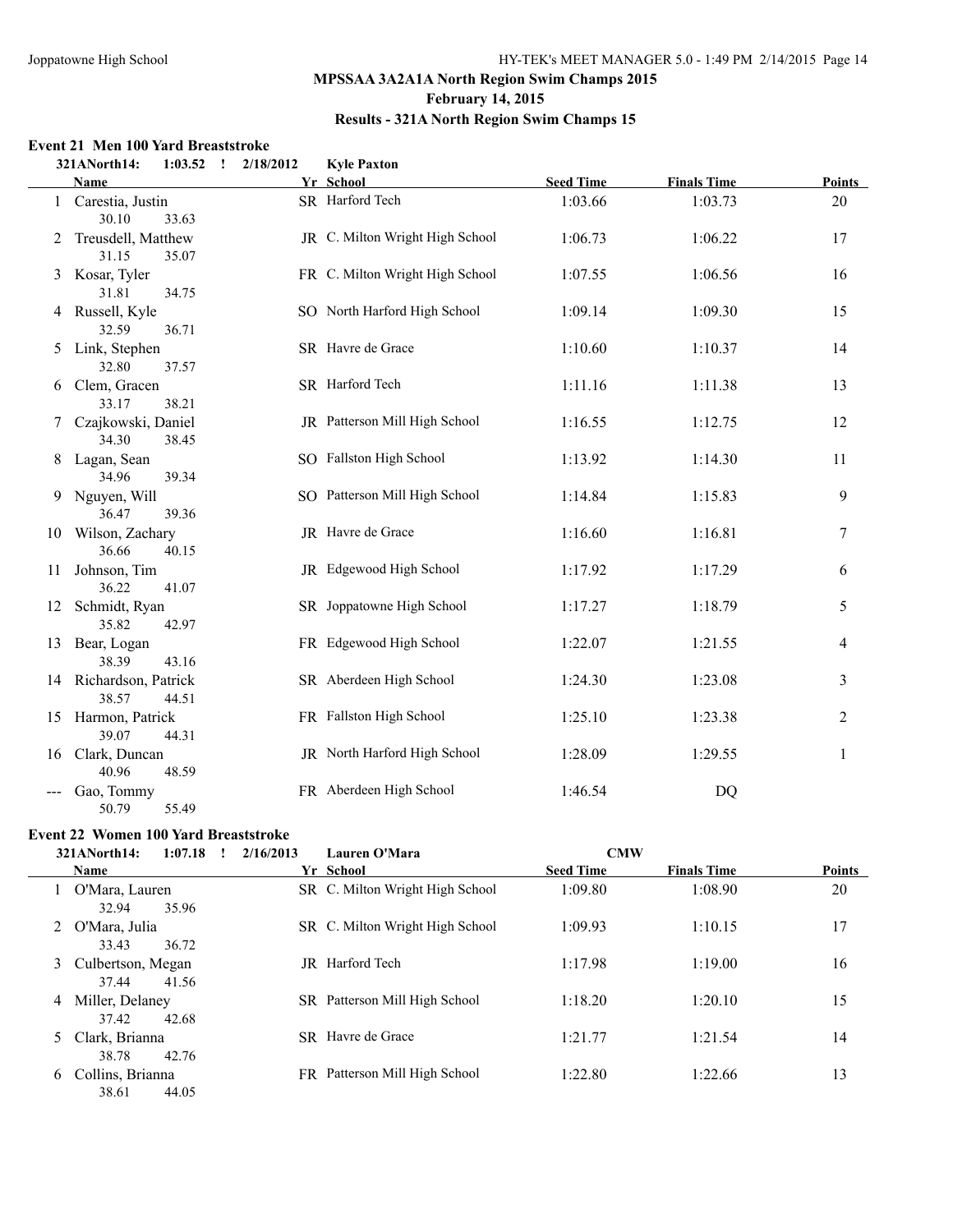#### **February 14, 2015**

#### **Results - 321A North Region Swim Champs 15**

#### **Event 21 Men 100 Yard Breaststroke**

|    | $1:03.52$ !<br>321ANorth14:              | 2/18/2012 | <b>Kyle Paxton</b>              |                  |                    |        |
|----|------------------------------------------|-----------|---------------------------------|------------------|--------------------|--------|
|    | <b>Name</b>                              |           | Yr School                       | <b>Seed Time</b> | <b>Finals Time</b> | Points |
|    | 1 Carestia, Justin<br>30.10<br>33.63     |           | SR Harford Tech                 | 1:03.66          | 1:03.73            | 20     |
| 2  | Treusdell, Matthew<br>31.15<br>35.07     |           | JR C. Milton Wright High School | 1:06.73          | 1:06.22            | 17     |
|    | 3 Kosar, Tyler<br>31.81<br>34.75         |           | FR C. Milton Wright High School | 1:07.55          | 1:06.56            | 16     |
|    | 4 Russell, Kyle<br>32.59<br>36.71        |           | SO North Harford High School    | 1:09.14          | 1:09.30            | 15     |
|    | 5 Link, Stephen<br>32.80<br>37.57        |           | SR Havre de Grace               | 1:10.60          | 1:10.37            | 14     |
| 6  | Clem, Gracen<br>33.17<br>38.21           |           | SR Harford Tech                 | 1:11.16          | 1:11.38            | 13     |
|    | 7 Czajkowski, Daniel<br>34.30<br>38.45   |           | JR Patterson Mill High School   | 1:16.55          | 1:12.75            | 12     |
| 8  | Lagan, Sean<br>34.96<br>39.34            |           | SO Fallston High School         | 1:13.92          | 1:14.30            | 11     |
| 9  | Nguyen, Will<br>36.47<br>39.36           |           | SO Patterson Mill High School   | 1:14.84          | 1:15.83            | 9      |
| 10 | Wilson, Zachary<br>36.66<br>40.15        |           | JR Havre de Grace               | 1:16.60          | 1:16.81            | 7      |
| 11 | Johnson, Tim<br>36.22<br>41.07           |           | JR Edgewood High School         | 1:17.92          | 1:17.29            | 6      |
|    | 12 Schmidt, Ryan<br>35.82<br>42.97       |           | SR Joppatowne High School       | 1:17.27          | 1:18.79            | 5      |
|    | 13 Bear, Logan<br>38.39<br>43.16         |           | FR Edgewood High School         | 1:22.07          | 1:21.55            | 4      |
|    | 14 Richardson, Patrick<br>38.57<br>44.51 |           | SR Aberdeen High School         | 1:24.30          | 1:23.08            | 3      |
|    | 15 Harmon, Patrick<br>39.07<br>44.31     |           | FR Fallston High School         | 1:25.10          | 1:23.38            | 2      |
| 16 | Clark, Duncan<br>40.96<br>48.59          |           | JR North Harford High School    | 1:28.09          | 1:29.55            | 1      |
|    | Gao, Tommy<br>55.49<br>50.79             |           | FR Aberdeen High School         | 1:46.54          | DQ                 |        |

#### **Event 22 Women 100 Yard Breaststroke**

|   | 321ANorth14:<br>1:07.18               | 2/16/2013<br>$\mathbf{I}$ | Lauren O'Mara                   | <b>CMW</b>       |                    |               |
|---|---------------------------------------|---------------------------|---------------------------------|------------------|--------------------|---------------|
|   | <b>Name</b>                           |                           | Yr School                       | <b>Seed Time</b> | <b>Finals Time</b> | <b>Points</b> |
|   | O'Mara, Lauren<br>35.96<br>32.94      |                           | SR C. Milton Wright High School | 1:09.80          | 1:08.90            | 20            |
|   | 2 O'Mara, Julia<br>33.43<br>36.72     |                           | SR C. Milton Wright High School | 1:09.93          | 1:10.15            | 17            |
|   | 3 Culbertson, Megan<br>37.44<br>41.56 | JR                        | Harford Tech                    | 1:17.98          | 1:19.00            | 16            |
| 4 | Miller, Delaney<br>37.42<br>42.68     |                           | SR Patterson Mill High School   | 1:18.20          | 1:20.10            | 15            |
| 5 | Clark, Brianna<br>38.78<br>42.76      | SR.                       | Havre de Grace                  | 1:21.77          | 1:21.54            | 14            |
| 6 | Collins, Brianna<br>38.61<br>44.05    | FR.                       | Patterson Mill High School      | 1:22.80          | 1:22.66            | 13            |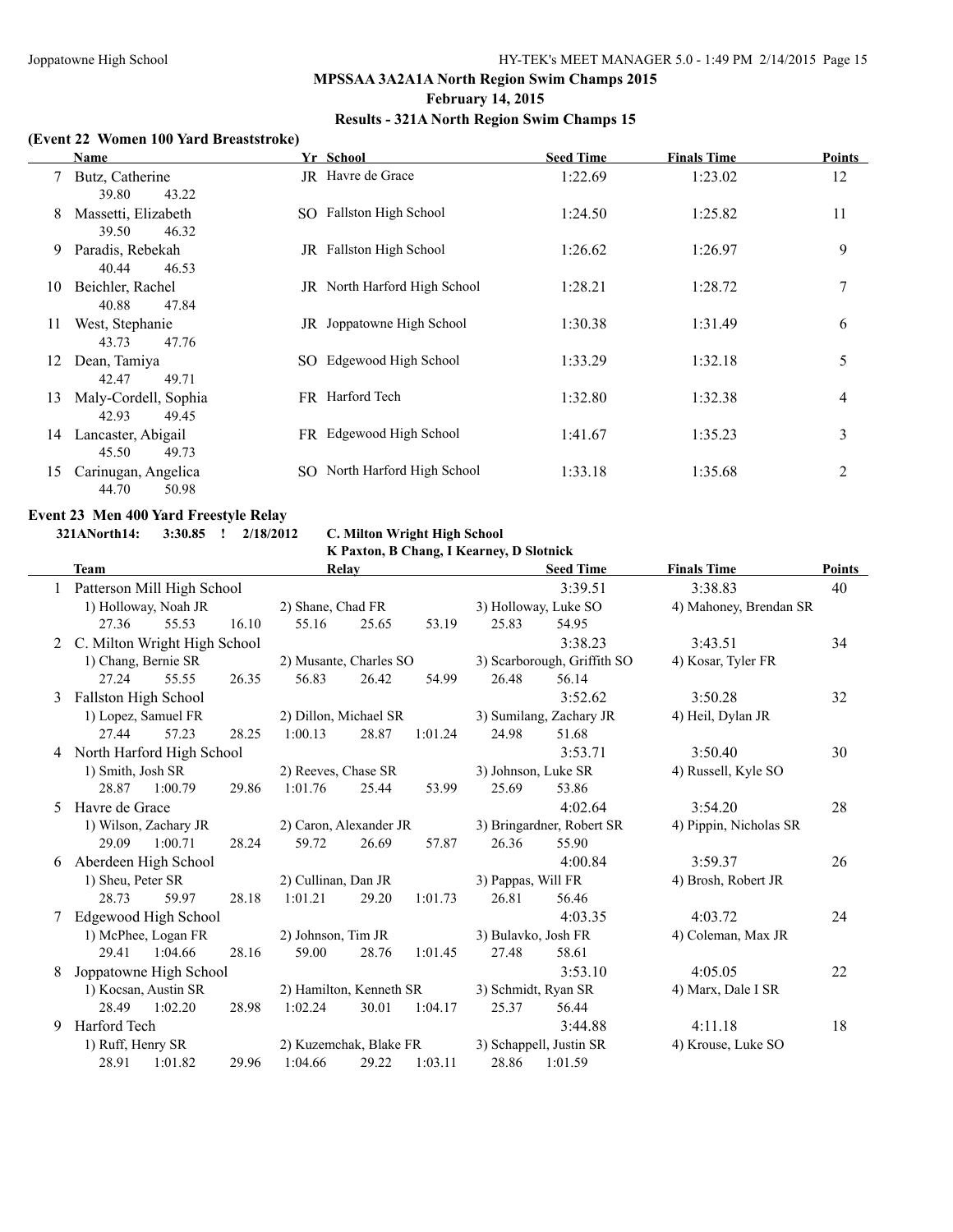#### **February 14, 2015**

#### **Results - 321A North Region Swim Champs 15**

#### **(Event 22 Women 100 Yard Breaststroke)**

|    | <b>Name</b>                                             | Yr School                    | <b>Seed Time</b> | <b>Finals Time</b> | <b>Points</b> |
|----|---------------------------------------------------------|------------------------------|------------------|--------------------|---------------|
|    | Butz, Catherine                                         | JR Havre de Grace            | 1:22.69          | 1:23.02            | 12            |
| 8  | 43.22<br>39.80<br>Massetti, Elizabeth<br>46.32<br>39.50 | SO Fallston High School      | 1:24.50          | 1:25.82            | 11            |
| 9  | Paradis, Rebekah<br>40.44<br>46.53                      | JR Fallston High School      | 1:26.62          | 1:26.97            | 9             |
| 10 | Beichler, Rachel<br>40.88<br>47.84                      | JR North Harford High School | 1:28.21          | 1:28.72            | 7             |
| 11 | West, Stephanie<br>47.76<br>43.73                       | JR Joppatowne High School    | 1:30.38          | 1:31.49            | 6             |
| 12 | Dean, Tamiya<br>42.47<br>49.71                          | SO Edgewood High School      | 1:33.29          | 1:32.18            | 5             |
| 13 | Maly-Cordell, Sophia<br>49.45<br>42.93                  | FR Harford Tech              | 1:32.80          | 1:32.38            | 4             |
| 14 | Lancaster, Abigail<br>45.50<br>49.73                    | FR Edgewood High School      | 1:41.67          | 1:35.23            | 3             |
| 15 | Carinugan, Angelica<br>50.98<br>44.70                   | SO North Harford High School | 1:33.18          | 1:35.68            | 2             |

# **Event 23 Men 400 Yard Freestyle Relay**<br>321ANorth14: 3:30.85 ! 2/18/2012

#### **321ANorth14: 3:30.85 ! 2/18/2012 C. Milton Wright High School**

#### **K Paxton, B Chang, I Kearney, D Slotnick**

|    | <b>Team</b>          |                              |       |                         | Relay |         |                     | <b>Seed Time</b>            | <b>Finals Time</b>     | Points |
|----|----------------------|------------------------------|-------|-------------------------|-------|---------|---------------------|-----------------------------|------------------------|--------|
|    |                      | Patterson Mill High School   |       |                         |       |         |                     | 3:39.51                     | 3:38.83                | 40     |
|    |                      | 1) Holloway, Noah JR         |       | 2) Shane, Chad FR       |       |         |                     | 3) Holloway, Luke SO        | 4) Mahoney, Brendan SR |        |
|    | 27.36                | 55.53                        | 16.10 | 55.16                   | 25.65 | 53.19   | 25.83               | 54.95                       |                        |        |
| 2  |                      | C. Milton Wright High School |       |                         |       |         |                     | 3:38.23                     | 3:43.51                | 34     |
|    |                      | 1) Chang, Bernie SR          |       | 2) Musante, Charles SO  |       |         |                     | 3) Scarborough, Griffith SO | 4) Kosar, Tyler FR     |        |
|    | 27.24                | 55.55                        | 26.35 | 56.83                   | 26.42 | 54.99   | 26.48               | 56.14                       |                        |        |
| 3  | Fallston High School |                              |       |                         |       |         |                     | 3:52.62                     | 3:50.28                | 32     |
|    |                      | 1) Lopez, Samuel FR          |       | 2) Dillon, Michael SR   |       |         |                     | 3) Sumilang, Zachary JR     | 4) Heil, Dylan JR      |        |
|    | 27.44                | 57.23                        | 28.25 | 1:00.13                 | 28.87 | 1:01.24 | 24.98               | 51.68                       |                        |        |
|    |                      | 4 North Harford High School  |       |                         |       |         |                     | 3:53.71                     | 3:50.40                | 30     |
|    | 1) Smith, Josh SR    |                              |       | 2) Reeves, Chase SR     |       |         | 3) Johnson, Luke SR |                             | 4) Russell, Kyle SO    |        |
|    | 28.87                | 1:00.79                      | 29.86 | 1:01.76                 | 25.44 | 53.99   | 25.69               | 53.86                       |                        |        |
| 5. | Havre de Grace       |                              |       |                         |       |         |                     | 4:02.64                     | 3:54.20                | 28     |
|    |                      | 1) Wilson, Zachary JR        |       | 2) Caron, Alexander JR  |       |         |                     | 3) Bringardner, Robert SR   | 4) Pippin, Nicholas SR |        |
|    | 29.09                | 1:00.71                      | 28.24 | 59.72                   | 26.69 | 57.87   | 26.36               | 55.90                       |                        |        |
| 6  |                      | Aberdeen High School         |       |                         |       |         |                     | 4:00.84                     | 3:59.37                | 26     |
|    | 1) Sheu, Peter SR    |                              |       | 2) Cullinan, Dan JR     |       |         | 3) Pappas, Will FR  |                             | 4) Brosh, Robert JR    |        |
|    | 28.73                | 59.97                        | 28.18 | 1:01.21                 | 29.20 | 1:01.73 | 26.81               | 56.46                       |                        |        |
| 7  |                      | Edgewood High School         |       |                         |       |         |                     | 4:03.35                     | 4:03.72                | 24     |
|    |                      | 1) McPhee, Logan FR          |       | 2) Johnson, Tim JR      |       |         | 3) Bulavko, Josh FR |                             | 4) Coleman, Max JR     |        |
|    | 29.41                | 1:04.66                      | 28.16 | 59.00                   | 28.76 | 1:01.45 | 27.48               | 58.61                       |                        |        |
| 8  |                      | Joppatowne High School       |       |                         |       |         |                     | 3:53.10                     | 4:05.05                | 22     |
|    |                      | 1) Kocsan, Austin SR         |       | 2) Hamilton, Kenneth SR |       |         | 3) Schmidt, Ryan SR |                             | 4) Marx, Dale I SR     |        |
|    | 28.49                | 1:02.20                      | 28.98 | 1:02.24                 | 30.01 | 1:04.17 | 25.37               | 56.44                       |                        |        |
| 9  | Harford Tech         |                              |       |                         |       |         |                     | 3:44.88                     | 4:11.18                | 18     |
|    | 1) Ruff, Henry SR    |                              |       | 2) Kuzemchak, Blake FR  |       |         |                     | 3) Schappell, Justin SR     | 4) Krouse, Luke SO     |        |
|    | 28.91                | 1:01.82                      | 29.96 | 1:04.66                 | 29.22 | 1:03.11 | 28.86               | 1:01.59                     |                        |        |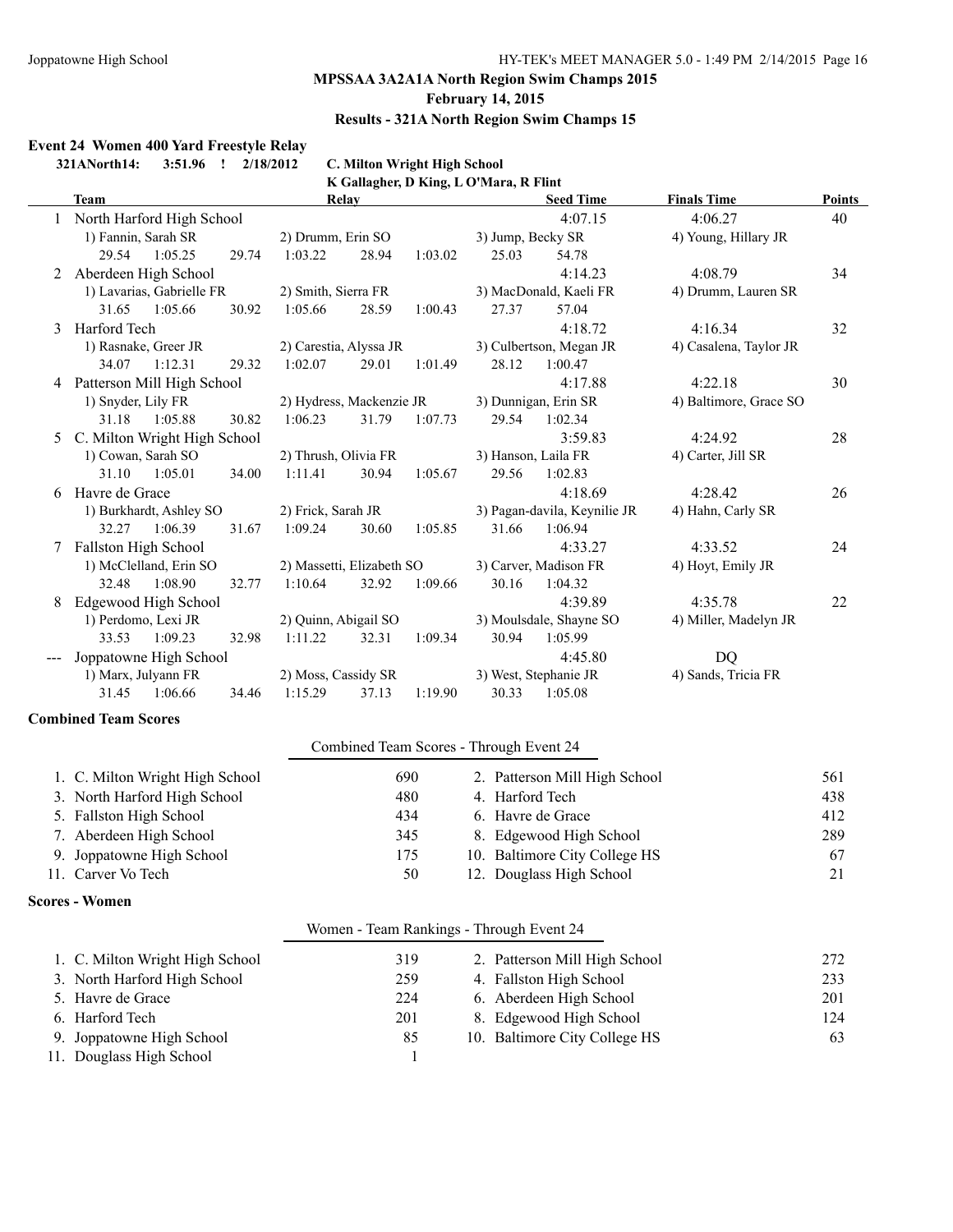#### **February 14, 2015**

#### **Results - 321A North Region Swim Champs 15**

**Event 24 Women 400 Yard Freestyle Relay 321ANorth14: 3:51.96 ! 2/18/2012 C. Milton Wright High School K Gallagher, D King, L O'Mara, R Flint Team Relay Seed Time Finals Time Points** 1 North Harford High School 4:07.15 4:06.27 40 1) Fannin, Sarah SR 2) Drumm, Erin SO 3) Jump, Becky SR 4) Young, Hillary JR 29.54 1:05.25 29.74 1:03.22 28.94 1:03.02 25.03 54.78 2 Aberdeen High School 4:14.23 4:08.79 34 1) Lavarias, Gabrielle FR 2) Smith, Sierra FR 3) MacDonald, Kaeli FR 4) Drumm, Lauren SR 31.65 1:05.66 30.92 1:05.66 28.59 1:00.43 27.37 57.04 3 Harford Tech 4:18.72 4:16.34 32 1) Rasnake, Greer JR 2) Carestia, Alyssa JR 3) Culbertson, Megan JR 4) Casalena, Taylor JR 34.07 1:12.31 29.32 1:02.07 29.01 1:01.49 28.12 1:00.47 4 Patterson Mill High School 4:17.88 4:22.18 30 1) Snyder, Lily FR 2) Hydress, Mackenzie JR 3) Dunnigan, Erin SR 4) Baltimore, Grace SO 31.18 1:05.88 30.82 1:06.23 31.79 1:07.73 29.54 1:02.34 5 C. Milton Wright High School 3:59.83 4:24.92 28 31.10 1:05.01 34.00 1:11.41 30.94 1:05.67 29.56 1:02.83

|   | 1) Cowan, Sarah SO   |                         |       | 2) Thrush, Olivia FR      |       |         | 3) Hanson, Laila FR |                              | 4) Carter, Jill SR    |    |
|---|----------------------|-------------------------|-------|---------------------------|-------|---------|---------------------|------------------------------|-----------------------|----|
|   | 31.10                | 1:05.01                 | 34.00 | 1:11.41                   | 30.94 | 1:05.67 | 29.56               | 1:02.83                      |                       |    |
| 6 | Havre de Grace       |                         |       |                           |       |         |                     | 4:18.69                      | 4:28.42               | 26 |
|   |                      | 1) Burkhardt, Ashley SO |       | 2) Frick, Sarah JR        |       |         |                     | 3) Pagan-davila, Keynilie JR | 4) Hahn, Carly SR     |    |
|   | 32.27                | 1:06.39                 | 31.67 | 1:09.24                   | 30.60 | 1:05.85 | 31.66               | 1:06.94                      |                       |    |
|   | Fallston High School |                         |       |                           |       |         |                     | 4:33.27                      | 4:33.52               | 24 |
|   |                      | 1) McClelland, Erin SO  |       | 2) Massetti, Elizabeth SO |       |         |                     | 3) Carver, Madison FR        | 4) Hoyt, Emily JR     |    |
|   | 32.48                | 1:08.90                 | 32.77 | 1:10.64                   | 32.92 | 1:09.66 | 30.16               | 1:04.32                      |                       |    |
| 8 |                      | Edgewood High School    |       |                           |       |         |                     | 4:39.89                      | 4:35.78               | 22 |
|   |                      | 1) Perdomo, Lexi JR     |       | 2) Quinn, Abigail SO      |       |         |                     | 3) Moulsdale, Shayne SO      | 4) Miller, Madelyn JR |    |
|   | 33.53                | 1:09.23                 | 32.98 | 1:11.22                   | 32.31 | 1:09.34 | 30.94               | 1:05.99                      |                       |    |
|   |                      | Joppatowne High School  |       |                           |       |         |                     | 4:45.80                      | DO                    |    |
|   |                      | 1) Marx, Julyann FR     |       | 2) Moss, Cassidy SR       |       |         |                     | 3) West, Stephanie JR        | 4) Sands, Tricia FR   |    |
|   | 31.45                | 1:06.66                 | 34.46 | 1:15.29                   | 37.13 | 1:19.90 | 30.33               | 1:05.08                      |                       |    |

#### **Combined Team Scores**

#### Combined Team Scores - Through Event 24

| 1. C. Milton Wright High School | 690 | 2. Patterson Mill High School | 561 |
|---------------------------------|-----|-------------------------------|-----|
| 3. North Harford High School    | 480 | 4. Harford Tech               | 438 |
| 5. Fallston High School         | 434 | 6. Havre de Grace             | 412 |
| 7. Aberdeen High School         | 345 | 8. Edgewood High School       | 289 |
| 9. Joppatowne High School       | 175 | 10. Baltimore City College HS | 67  |
| 11. Carver Vo Tech              | 50  | 12. Douglass High School      | 21  |

#### **Scores - Women**

|                                 | Women - Team Rankings - Through Event 24 |                               |     |
|---------------------------------|------------------------------------------|-------------------------------|-----|
| 1. C. Milton Wright High School | 319                                      | 2. Patterson Mill High School | 272 |
| 3. North Harford High School    | 259                                      | 4. Fallston High School       | 233 |
| 5. Havre de Grace               | 224                                      | 6. Aberdeen High School       | 201 |
| 6. Harford Tech                 | 201                                      | 8. Edgewood High School       | 124 |
| 9. Joppatowne High School       | 85                                       | 10. Baltimore City College HS | 63  |
| 11. Douglass High School        |                                          |                               |     |